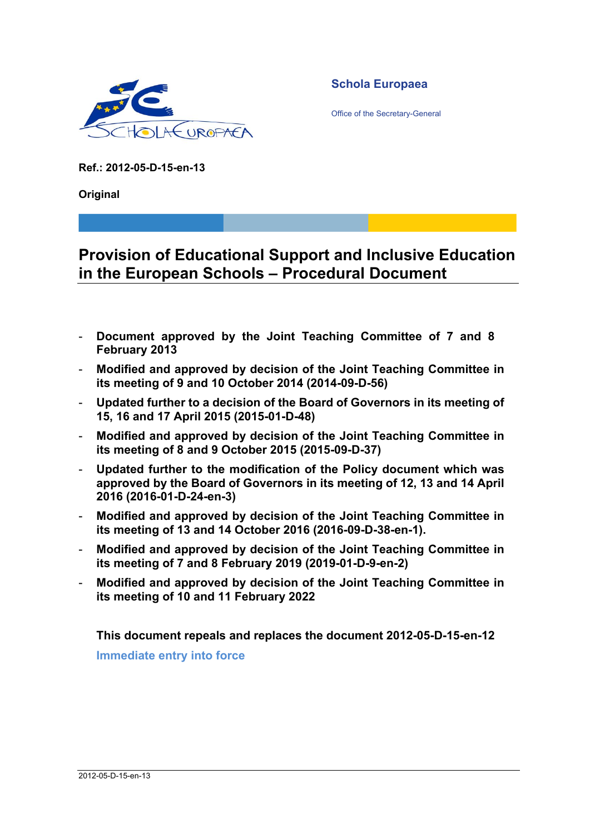

**Schola Europaea** 

Office of the Secretary-General

**Ref.: 2012-05-D-15-en-13** 

**Original** 

# **Provision of Educational Support and Inclusive Education in the European Schools – Procedural Document**

- **Document approved by the Joint Teaching Committee of 7 and 8 February 2013**
- **Modified and approved by decision of the Joint Teaching Committee in its meeting of 9 and 10 October 2014 (2014-09-D-56)**
- **Updated further to a decision of the Board of Governors in its meeting of 15, 16 and 17 April 2015 (2015-01-D-48)**
- **Modified and approved by decision of the Joint Teaching Committee in its meeting of 8 and 9 October 2015 (2015-09-D-37)**
- **Updated further to the modification of the Policy document which was approved by the Board of Governors in its meeting of 12, 13 and 14 April 2016 (2016-01-D-24-en-3)**
- **Modified and approved by decision of the Joint Teaching Committee in its meeting of 13 and 14 October 2016 (2016-09-D-38-en-1).**
- **Modified and approved by decision of the Joint Teaching Committee in its meeting of 7 and 8 February 2019 (2019-01-D-9-en-2)**
- **Modified and approved by decision of the Joint Teaching Committee in its meeting of 10 and 11 February 2022**

**This document repeals and replaces the document 2012-05-D-15-en-12 Immediate entry into force**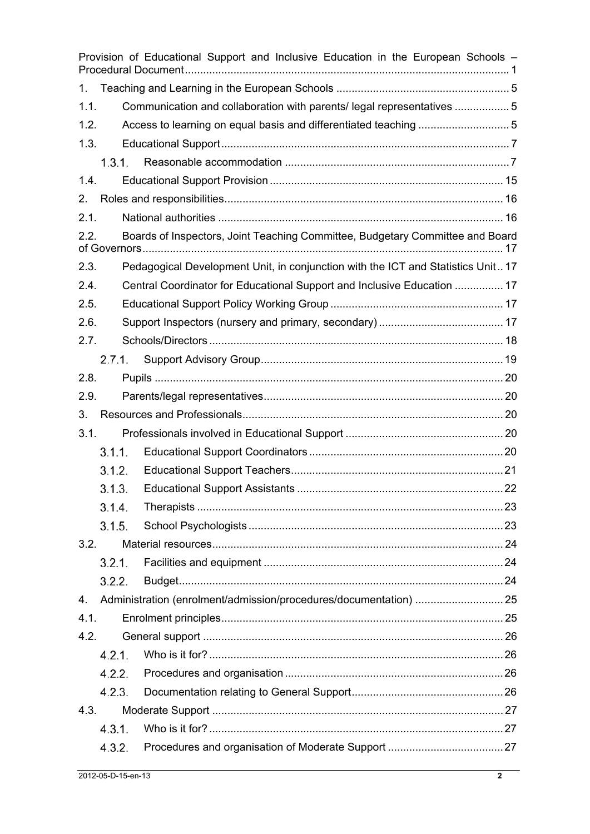|      |        |  | Provision of Educational Support and Inclusive Education in the European Schools - |  |  |
|------|--------|--|------------------------------------------------------------------------------------|--|--|
| 1.   |        |  |                                                                                    |  |  |
| 1.1. |        |  | Communication and collaboration with parents/ legal representatives 5              |  |  |
| 1.2. |        |  |                                                                                    |  |  |
| 1.3. |        |  |                                                                                    |  |  |
|      | 1.3.1. |  |                                                                                    |  |  |
| 1.4. |        |  |                                                                                    |  |  |
| 2.   |        |  |                                                                                    |  |  |
| 2.1. |        |  |                                                                                    |  |  |
| 2.2. |        |  | Boards of Inspectors, Joint Teaching Committee, Budgetary Committee and Board      |  |  |
| 2.3. |        |  | Pedagogical Development Unit, in conjunction with the ICT and Statistics Unit 17   |  |  |
| 2.4. |        |  | Central Coordinator for Educational Support and Inclusive Education  17            |  |  |
| 2.5. |        |  |                                                                                    |  |  |
| 2.6. |        |  |                                                                                    |  |  |
| 2.7. |        |  |                                                                                    |  |  |
|      | 2.7.1. |  |                                                                                    |  |  |
| 2.8. |        |  |                                                                                    |  |  |
| 2.9. |        |  |                                                                                    |  |  |
| 3.   |        |  |                                                                                    |  |  |
| 3.1. |        |  |                                                                                    |  |  |
|      | 3.1.1. |  |                                                                                    |  |  |
|      | 3.1.2. |  |                                                                                    |  |  |
|      | 3.1.3. |  |                                                                                    |  |  |
|      | 3.1.4. |  |                                                                                    |  |  |
|      | 3.1.5. |  |                                                                                    |  |  |
| 3.2. |        |  |                                                                                    |  |  |
|      | 3.2.1. |  |                                                                                    |  |  |
|      | 3.2.2. |  |                                                                                    |  |  |
| 4.   |        |  | Administration (enrolment/admission/procedures/documentation)  25                  |  |  |
| 4.1. |        |  |                                                                                    |  |  |
| 4.2. |        |  |                                                                                    |  |  |
|      | 4.2.1. |  |                                                                                    |  |  |
|      | 4.2.2. |  |                                                                                    |  |  |
|      | 4.2.3. |  |                                                                                    |  |  |
| 4.3. |        |  |                                                                                    |  |  |
|      | 4.3.1. |  |                                                                                    |  |  |
|      | 4.3.2. |  |                                                                                    |  |  |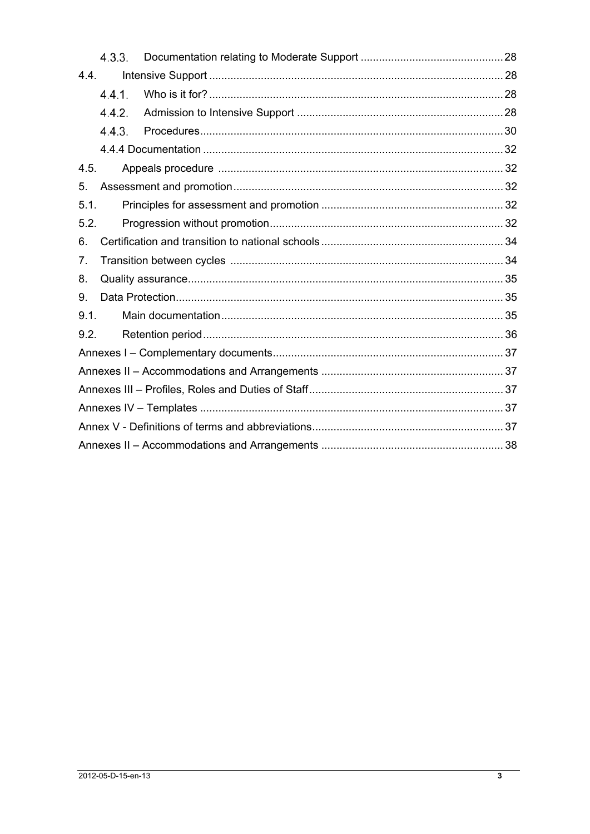|      | 4.3.3. |  |  |  |  |
|------|--------|--|--|--|--|
| 4.4. |        |  |  |  |  |
|      | 4.4.1. |  |  |  |  |
|      | 4.4.2. |  |  |  |  |
|      | 4.4.3. |  |  |  |  |
|      |        |  |  |  |  |
| 4.5. |        |  |  |  |  |
| 5.   |        |  |  |  |  |
| 5.1. |        |  |  |  |  |
| 5.2. |        |  |  |  |  |
| 6.   |        |  |  |  |  |
| 7.   |        |  |  |  |  |
| 8.   |        |  |  |  |  |
| 9.   |        |  |  |  |  |
| 9.1. |        |  |  |  |  |
| 9.2. |        |  |  |  |  |
|      |        |  |  |  |  |
|      |        |  |  |  |  |
|      |        |  |  |  |  |
|      |        |  |  |  |  |
|      |        |  |  |  |  |
|      |        |  |  |  |  |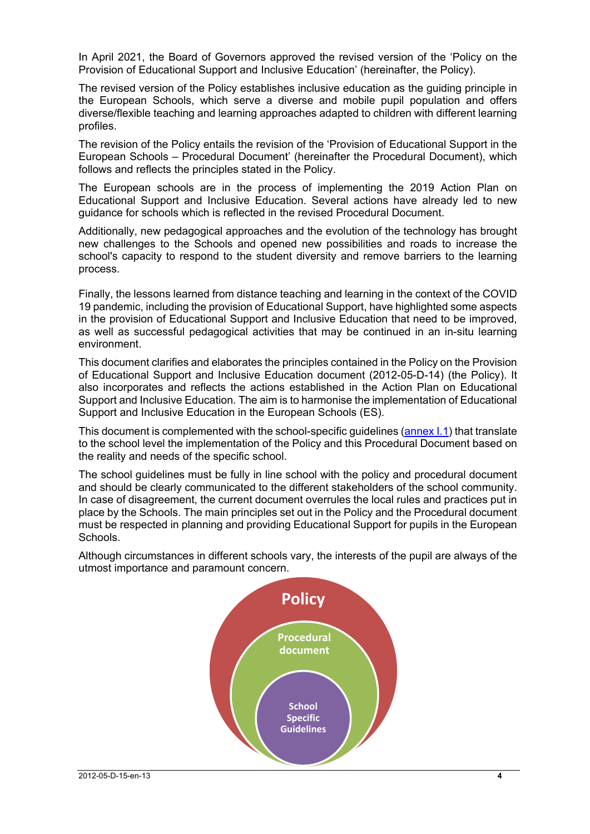In April 2021, the Board of Governors approved the revised version of the 'Policy on the Provision of Educational Support and Inclusive Education' (hereinafter, the Policy).

The revised version of the Policy establishes inclusive education as the guiding principle in the European Schools, which serve a diverse and mobile pupil population and offers diverse/flexible teaching and learning approaches adapted to children with different learning profiles.

The revision of the Policy entails the revision of the 'Provision of Educational Support in the European Schools – Procedural Document' (hereinafter the Procedural Document), which follows and reflects the principles stated in the Policy.

The European schools are in the process of implementing the 2019 Action Plan on Educational Support and Inclusive Education. Several actions have already led to new guidance for schools which is reflected in the revised Procedural Document.

Additionally, new pedagogical approaches and the evolution of the technology has brought new challenges to the Schools and opened new possibilities and roads to increase the school's capacity to respond to the student diversity and remove barriers to the learning process.

Finally, the lessons learned from distance teaching and learning in the context of the COVID 19 pandemic, including the provision of Educational Support, have highlighted some aspects in the provision of Educational Support and Inclusive Education that need to be improved, as well as successful pedagogical activities that may be continued in an in-situ learning environment.

This document clarifies and elaborates the principles contained in the Policy on the Provision of Educational Support and Inclusive Education document (2012-05-D-14) (the Policy). It also incorporates and reflects the actions established in the Action Plan on Educational Support and Inclusive Education. The aim is to harmonise the implementation of Educational Support and Inclusive Education in the European Schools (ES).

This document is complemented with the school-specific guidelines (annex I.1) that translate to the school level the implementation of the Policy and this Procedural Document based on the reality and needs of the specific school.

The school guidelines must be fully in line school with the policy and procedural document and should be clearly communicated to the different stakeholders of the school community. In case of disagreement, the current document overrules the local rules and practices put in place by the Schools. The main principles set out in the Policy and the Procedural document must be respected in planning and providing Educational Support for pupils in the European Schools.

Although circumstances in different schools vary, the interests of the pupil are always of the utmost importance and paramount concern.

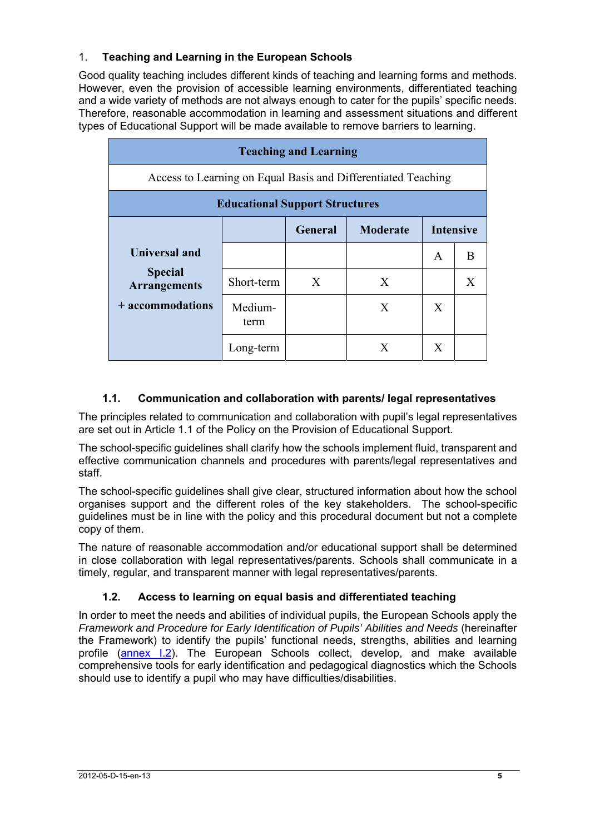## 1. **Teaching and Learning in the European Schools**

Good quality teaching includes different kinds of teaching and learning forms and methods. However, even the provision of accessible learning environments, differentiated teaching and a wide variety of methods are not always enough to cater for the pupils' specific needs. Therefore, reasonable accommodation in learning and assessment situations and different types of Educational Support will be made available to remove barriers to learning.

| <b>Teaching and Learning</b>                                  |                 |                |                 |                  |   |
|---------------------------------------------------------------|-----------------|----------------|-----------------|------------------|---|
| Access to Learning on Equal Basis and Differentiated Teaching |                 |                |                 |                  |   |
| <b>Educational Support Structures</b>                         |                 |                |                 |                  |   |
|                                                               |                 | <b>General</b> | <b>Moderate</b> | <b>Intensive</b> |   |
| <b>Universal and</b>                                          |                 |                |                 | A                | B |
| <b>Special</b><br><b>Arrangements</b>                         | Short-term      | X              | X               |                  | X |
| + accommodations                                              | Medium-<br>term |                | X               | X                |   |
|                                                               | Long-term       |                | X               | X                |   |

## **1.1. Communication and collaboration with parents/ legal representatives**

The principles related to communication and collaboration with pupil's legal representatives are set out in Article 1.1 of the Policy on the Provision of Educational Support.

The school-specific guidelines shall clarify how the schools implement fluid, transparent and effective communication channels and procedures with parents/legal representatives and staff.

The school-specific guidelines shall give clear, structured information about how the school organises support and the different roles of the key stakeholders. The school-specific guidelines must be in line with the policy and this procedural document but not a complete copy of them.

The nature of reasonable accommodation and/or educational support shall be determined in close collaboration with legal representatives/parents. Schools shall communicate in a timely, regular, and transparent manner with legal representatives/parents.

## **1.2. Access to learning on equal basis and differentiated teaching**

In order to meet the needs and abilities of individual pupils, the European Schools apply the *Framework and Procedure for Early Identification of Pupils' Abilities and Needs* (hereinafter the Framework) to identify the pupils' functional needs, strengths, abilities and learning profile (annex I.2). The European Schools collect, develop, and make available comprehensive tools for early identification and pedagogical diagnostics which the Schools should use to identify a pupil who may have difficulties/disabilities.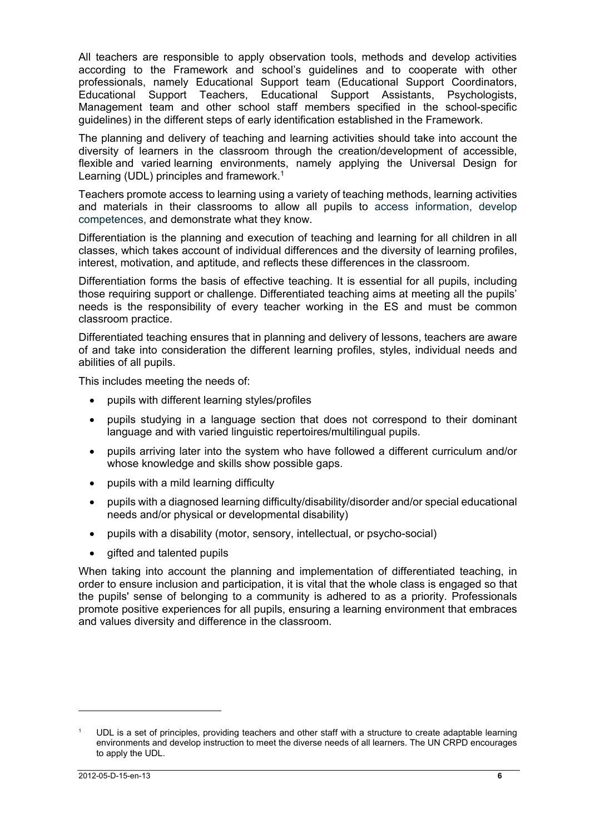All teachers are responsible to apply observation tools, methods and develop activities according to the Framework and school's guidelines and to cooperate with other professionals, namely Educational Support team (Educational Support Coordinators, Educational Support Teachers, Educational Support Assistants, Psychologists, Management team and other school staff members specified in the school-specific guidelines) in the different steps of early identification established in the Framework.

The planning and delivery of teaching and learning activities should take into account the diversity of learners in the classroom through the creation/development of accessible, flexible and varied learning environments, namely applying the Universal Design for Learning (UDL) principles and framework.<sup>1</sup>

Teachers promote access to learning using a variety of teaching methods, learning activities and materials in their classrooms to allow all pupils to access information, develop competences, and demonstrate what they know.

Differentiation is the planning and execution of teaching and learning for all children in all classes, which takes account of individual differences and the diversity of learning profiles, interest, motivation, and aptitude, and reflects these differences in the classroom.

Differentiation forms the basis of effective teaching. It is essential for all pupils, including those requiring support or challenge. Differentiated teaching aims at meeting all the pupils' needs is the responsibility of every teacher working in the ES and must be common classroom practice.

Differentiated teaching ensures that in planning and delivery of lessons, teachers are aware of and take into consideration the different learning profiles, styles, individual needs and abilities of all pupils.

This includes meeting the needs of:

- pupils with different learning styles/profiles
- pupils studying in a language section that does not correspond to their dominant language and with varied linguistic repertoires/multilingual pupils.
- pupils arriving later into the system who have followed a different curriculum and/or whose knowledge and skills show possible gaps.
- pupils with a mild learning difficulty
- pupils with a diagnosed learning difficulty/disability/disorder and/or special educational needs and/or physical or developmental disability)
- pupils with a disability (motor, sensory, intellectual, or psycho-social)
- gifted and talented pupils

When taking into account the planning and implementation of differentiated teaching, in order to ensure inclusion and participation, it is vital that the whole class is engaged so that the pupils' sense of belonging to a community is adhered to as a priority. Professionals promote positive experiences for all pupils, ensuring a learning environment that embraces and values diversity and difference in the classroom.

 $\overline{a}$ 

<sup>1</sup> UDL is a set of principles, providing teachers and other staff with a structure to create adaptable learning environments and develop instruction to meet the diverse needs of all learners. The UN CRPD encourages to apply the UDL.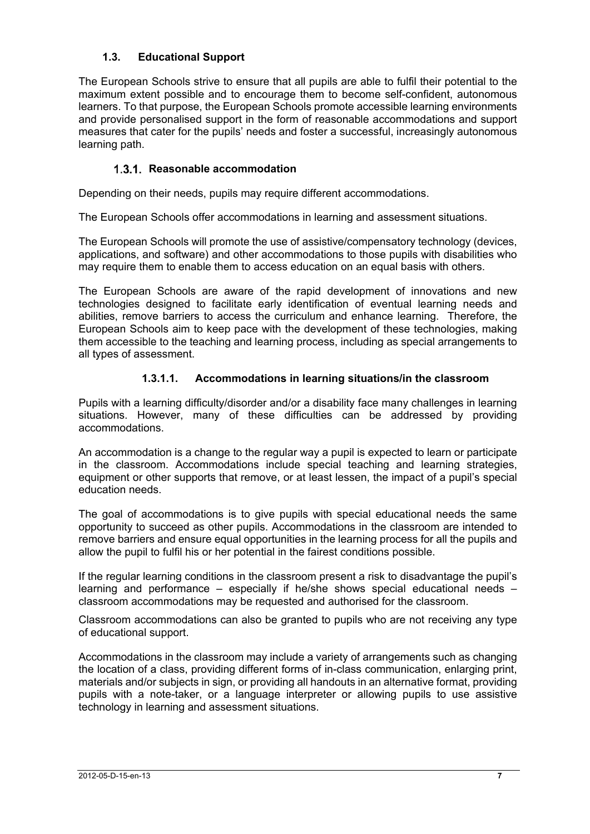## **1.3. Educational Support**

The European Schools strive to ensure that all pupils are able to fulfil their potential to the maximum extent possible and to encourage them to become self-confident, autonomous learners. To that purpose, the European Schools promote accessible learning environments and provide personalised support in the form of reasonable accommodations and support measures that cater for the pupils' needs and foster a successful, increasingly autonomous learning path.

## **1.3.1. Reasonable accommodation**

Depending on their needs, pupils may require different accommodations.

The European Schools offer accommodations in learning and assessment situations.

The European Schools will promote the use of assistive/compensatory technology (devices, applications, and software) and other accommodations to those pupils with disabilities who may require them to enable them to access education on an equal basis with others.

The European Schools are aware of the rapid development of innovations and new technologies designed to facilitate early identification of eventual learning needs and abilities, remove barriers to access the curriculum and enhance learning. Therefore, the European Schools aim to keep pace with the development of these technologies, making them accessible to the teaching and learning process, including as special arrangements to all types of assessment.

## **1.3.1.1. Accommodations in learning situations/in the classroom**

Pupils with a learning difficulty/disorder and/or a disability face many challenges in learning situations. However, many of these difficulties can be addressed by providing accommodations.

An accommodation is a change to the regular way a pupil is expected to learn or participate in the classroom. Accommodations include special teaching and learning strategies, equipment or other supports that remove, or at least lessen, the impact of a pupil's special education needs.

The goal of accommodations is to give pupils with special educational needs the same opportunity to succeed as other pupils. Accommodations in the classroom are intended to remove barriers and ensure equal opportunities in the learning process for all the pupils and allow the pupil to fulfil his or her potential in the fairest conditions possible.

If the regular learning conditions in the classroom present a risk to disadvantage the pupil's learning and performance – especially if he/she shows special educational needs – classroom accommodations may be requested and authorised for the classroom.

Classroom accommodations can also be granted to pupils who are not receiving any type of educational support.

Accommodations in the classroom may include a variety of arrangements such as changing the location of a class, providing different forms of in-class communication, enlarging print, materials and/or subjects in sign, or providing all handouts in an alternative format, providing pupils with a note-taker, or a language interpreter or allowing pupils to use assistive technology in learning and assessment situations.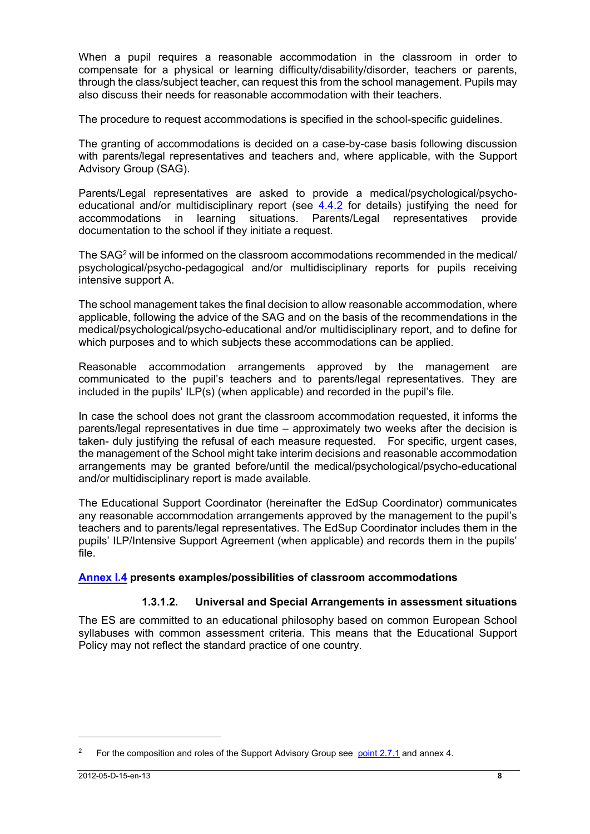When a pupil requires a reasonable accommodation in the classroom in order to compensate for a physical or learning difficulty/disability/disorder, teachers or parents, through the class/subject teacher, can request this from the school management. Pupils may also discuss their needs for reasonable accommodation with their teachers.

The procedure to request accommodations is specified in the school-specific guidelines.

The granting of accommodations is decided on a case-by-case basis following discussion with parents/legal representatives and teachers and, where applicable, with the Support Advisory Group (SAG).

Parents/Legal representatives are asked to provide a medical/psychological/psychoeducational and/or multidisciplinary report (see  $4.4.2$  for details) justifying the need for accommodations in learning situations. Parents/Legal representatives provide documentation to the school if they initiate a request.

The SAG2 will be informed on the classroom accommodations recommended in the medical/ psychological/psycho-pedagogical and/or multidisciplinary reports for pupils receiving intensive support A.

The school management takes the final decision to allow reasonable accommodation, where applicable, following the advice of the SAG and on the basis of the recommendations in the medical/psychological/psycho-educational and/or multidisciplinary report, and to define for which purposes and to which subjects these accommodations can be applied.

Reasonable accommodation arrangements approved by the management are communicated to the pupil's teachers and to parents/legal representatives. They are included in the pupils' ILP(s) (when applicable) and recorded in the pupil's file.

In case the school does not grant the classroom accommodation requested, it informs the parents/legal representatives in due time – approximately two weeks after the decision is taken- duly justifying the refusal of each measure requested. For specific, urgent cases, the management of the School might take interim decisions and reasonable accommodation arrangements may be granted before/until the medical/psychological/psycho-educational and/or multidisciplinary report is made available.

The Educational Support Coordinator (hereinafter the EdSup Coordinator) communicates any reasonable accommodation arrangements approved by the management to the pupil's teachers and to parents/legal representatives. The EdSup Coordinator includes them in the pupils' ILP/Intensive Support Agreement (when applicable) and records them in the pupils' file.

## **Annex I.4 presents examples/possibilities of classroom accommodations**

## **1.3.1.2. Universal and Special Arrangements in assessment situations**

The ES are committed to an educational philosophy based on common European School syllabuses with common assessment criteria. This means that the Educational Support Policy may not reflect the standard practice of one country.

<sup>&</sup>lt;sup>2</sup> For the composition and roles of the Support Advisory Group see point 2.7.1 and annex 4.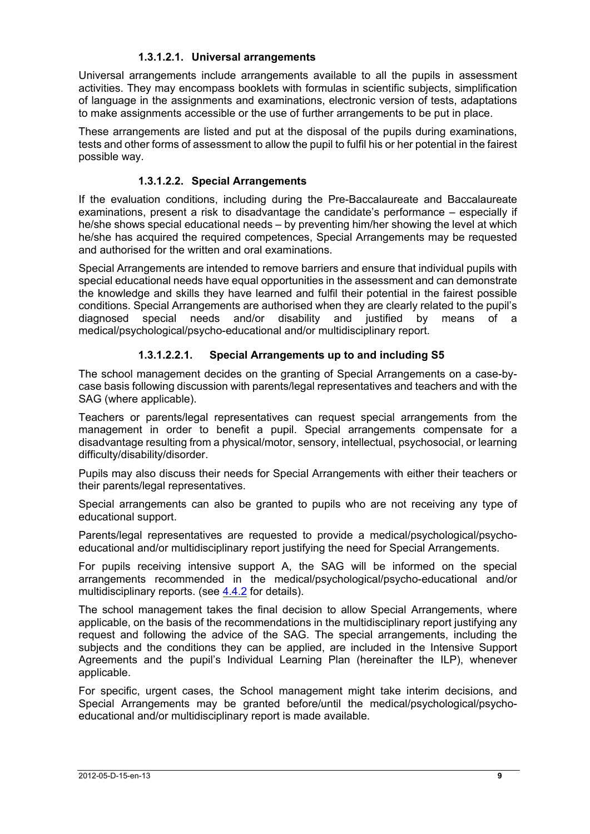### **1.3.1.2.1. Universal arrangements**

Universal arrangements include arrangements available to all the pupils in assessment activities. They may encompass booklets with formulas in scientific subjects, simplification of language in the assignments and examinations, electronic version of tests, adaptations to make assignments accessible or the use of further arrangements to be put in place.

These arrangements are listed and put at the disposal of the pupils during examinations, tests and other forms of assessment to allow the pupil to fulfil his or her potential in the fairest possible way.

### **1.3.1.2.2. Special Arrangements**

If the evaluation conditions, including during the Pre-Baccalaureate and Baccalaureate examinations, present a risk to disadvantage the candidate's performance – especially if he/she shows special educational needs – by preventing him/her showing the level at which he/she has acquired the required competences, Special Arrangements may be requested and authorised for the written and oral examinations.

Special Arrangements are intended to remove barriers and ensure that individual pupils with special educational needs have equal opportunities in the assessment and can demonstrate the knowledge and skills they have learned and fulfil their potential in the fairest possible conditions. Special Arrangements are authorised when they are clearly related to the pupil's diagnosed special needs and/or disability and justified by means of a medical/psychological/psycho-educational and/or multidisciplinary report.

## **1.3.1.2.2.1. Special Arrangements up to and including S5**

The school management decides on the granting of Special Arrangements on a case-bycase basis following discussion with parents/legal representatives and teachers and with the SAG (where applicable).

Teachers or parents/legal representatives can request special arrangements from the management in order to benefit a pupil. Special arrangements compensate for a disadvantage resulting from a physical/motor, sensory, intellectual, psychosocial, or learning difficulty/disability/disorder.

Pupils may also discuss their needs for Special Arrangements with either their teachers or their parents/legal representatives.

Special arrangements can also be granted to pupils who are not receiving any type of educational support.

Parents/legal representatives are requested to provide a medical/psychological/psychoeducational and/or multidisciplinary report justifying the need for Special Arrangements.

For pupils receiving intensive support A, the SAG will be informed on the special arrangements recommended in the medical/psychological/psycho-educational and/or multidisciplinary reports. (see 4.4.2 for details).

The school management takes the final decision to allow Special Arrangements, where applicable, on the basis of the recommendations in the multidisciplinary report justifying any request and following the advice of the SAG. The special arrangements, including the subjects and the conditions they can be applied, are included in the Intensive Support Agreements and the pupil's Individual Learning Plan (hereinafter the ILP), whenever applicable.

For specific, urgent cases, the School management might take interim decisions, and Special Arrangements may be granted before/until the medical/psychological/psychoeducational and/or multidisciplinary report is made available.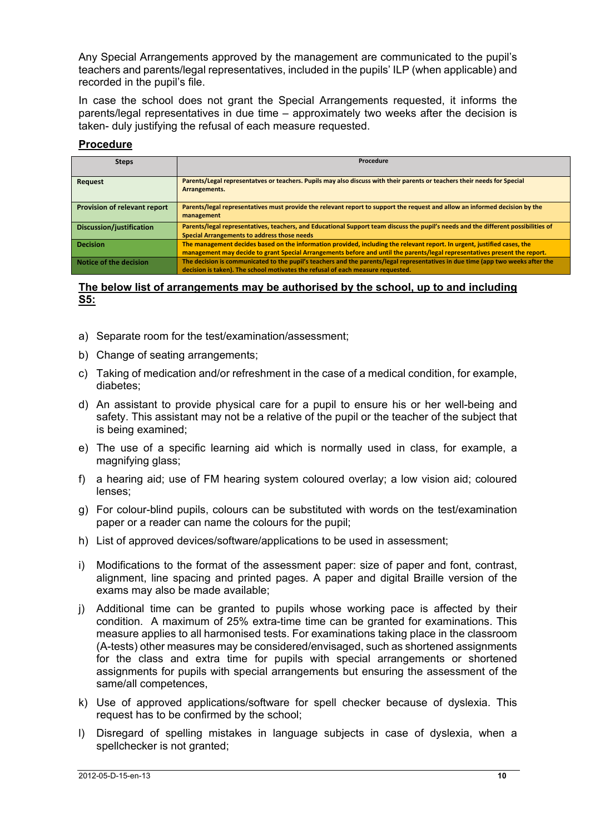Any Special Arrangements approved by the management are communicated to the pupil's teachers and parents/legal representatives, included in the pupils' ILP (when applicable) and recorded in the pupil's file.

In case the school does not grant the Special Arrangements requested, it informs the parents/legal representatives in due time – approximately two weeks after the decision is taken- duly justifying the refusal of each measure requested.

### **Procedure**

| <b>Steps</b>                        | Procedure                                                                                                                                                                                                                                              |  |
|-------------------------------------|--------------------------------------------------------------------------------------------------------------------------------------------------------------------------------------------------------------------------------------------------------|--|
| Request                             | Parents/Legal representatves or teachers. Pupils may also discuss with their parents or teachers their needs for Special<br>Arrangements.                                                                                                              |  |
| <b>Provision of relevant report</b> | Parents/legal representatives must provide the relevant report to support the request and allow an informed decision by the<br>management                                                                                                              |  |
| Discussion/justification            | Parents/legal representatives, teachers, and Educational Support team discuss the pupil's needs and the different possibilities of<br><b>Special Arrangements to address those needs</b>                                                               |  |
| <b>Decision</b>                     | The management decides based on the information provided, including the relevant report. In urgent, justified cases, the<br>management may decide to grant Special Arrangements before and until the parents/legal representatives present the report. |  |
| Notice of the decision              | The decision is communicated to the pupil's teachers and the parents/legal representatives in due time (app two weeks after the<br>decision is taken). The school motivates the refusal of each measure requested.                                     |  |

#### **The below list of arrangements may be authorised by the school, up to and including S5:**

- a) Separate room for the test/examination/assessment;
- b) Change of seating arrangements;
- c) Taking of medication and/or refreshment in the case of a medical condition, for example, diabetes;
- d) An assistant to provide physical care for a pupil to ensure his or her well-being and safety. This assistant may not be a relative of the pupil or the teacher of the subject that is being examined;
- e) The use of a specific learning aid which is normally used in class, for example, a magnifying glass;
- f) a hearing aid; use of FM hearing system coloured overlay; a low vision aid; coloured lenses;
- g) For colour-blind pupils, colours can be substituted with words on the test/examination paper or a reader can name the colours for the pupil;
- h) List of approved devices/software/applications to be used in assessment;
- i) Modifications to the format of the assessment paper: size of paper and font, contrast, alignment, line spacing and printed pages. A paper and digital Braille version of the exams may also be made available;
- j) Additional time can be granted to pupils whose working pace is affected by their condition. A maximum of 25% extra-time time can be granted for examinations. This measure applies to all harmonised tests. For examinations taking place in the classroom (A-tests) other measures may be considered/envisaged, such as shortened assignments for the class and extra time for pupils with special arrangements or shortened assignments for pupils with special arrangements but ensuring the assessment of the same/all competences,
- k) Use of approved applications/software for spell checker because of dyslexia. This request has to be confirmed by the school;
- l) Disregard of spelling mistakes in language subjects in case of dyslexia, when a spellchecker is not granted;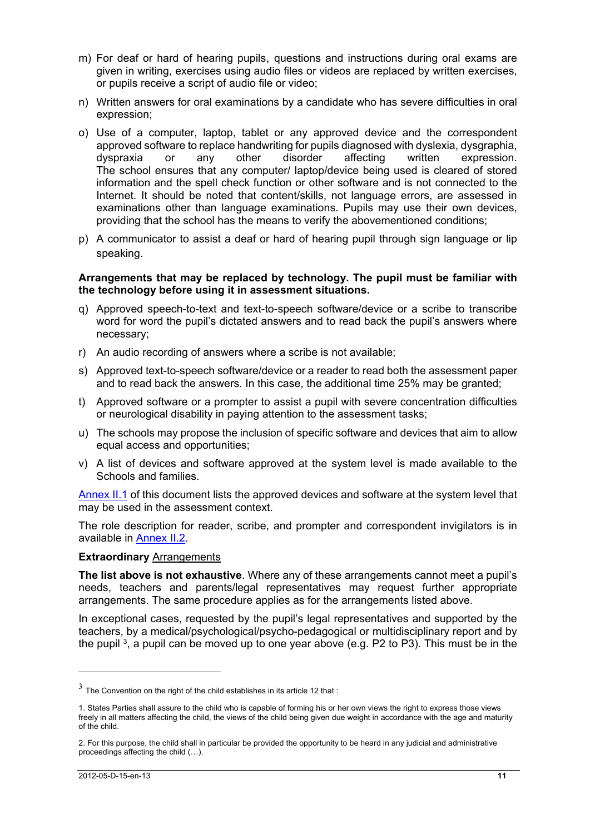- m) For deaf or hard of hearing pupils, questions and instructions during oral exams are given in writing, exercises using audio files or videos are replaced by written exercises, or pupils receive a script of audio file or video;
- n) Written answers for oral examinations by a candidate who has severe difficulties in oral expression;
- o) Use of a computer, laptop, tablet or any approved device and the correspondent approved software to replace handwriting for pupils diagnosed with dyslexia, dysgraphia, dyspraxia or any other disorder affecting written expression. The school ensures that any computer/ laptop/device being used is cleared of stored information and the spell check function or other software and is not connected to the Internet. It should be noted that content/skills, not language errors, are assessed in examinations other than language examinations. Pupils may use their own devices, providing that the school has the means to verify the abovementioned conditions;
- p) A communicator to assist a deaf or hard of hearing pupil through sign language or lip speaking.

#### **Arrangements that may be replaced by technology. The pupil must be familiar with the technology before using it in assessment situations.**

- q) Approved speech-to-text and text-to-speech software/device or a scribe to transcribe word for word the pupil's dictated answers and to read back the pupil's answers where necessary;
- r) An audio recording of answers where a scribe is not available;
- s) Approved text-to-speech software/device or a reader to read both the assessment paper and to read back the answers. In this case, the additional time 25% may be granted;
- t) Approved software or a prompter to assist a pupil with severe concentration difficulties or neurological disability in paying attention to the assessment tasks;
- u) The schools may propose the inclusion of specific software and devices that aim to allow equal access and opportunities;
- v) A list of devices and software approved at the system level is made available to the Schools and families.

Annex II.1 of this document lists the approved devices and software at the system level that may be used in the assessment context.

The role description for reader, scribe, and prompter and correspondent invigilators is in available in Annex II.2.

#### **Extraordinary** Arrangements

**The list above is not exhaustive**. Where any of these arrangements cannot meet a pupil's needs, teachers and parents/legal representatives may request further appropriate arrangements. The same procedure applies as for the arrangements listed above.

In exceptional cases, requested by the pupil's legal representatives and supported by the teachers, by a medical/psychological/psycho-pedagogical or multidisciplinary report and by the pupil  $3$ , a pupil can be moved up to one year above (e.g. P2 to P3). This must be in the

 $\overline{a}$ 

 $3\overline{)}$  The Convention on the right of the child establishes in its article 12 that :

<sup>1.</sup> States Parties shall assure to the child who is capable of forming his or her own views the right to express those views freely in all matters affecting the child, the views of the child being given due weight in accordance with the age and maturity of the child.

<sup>2.</sup> For this purpose, the child shall in particular be provided the opportunity to be heard in any judicial and administrative proceedings affecting the child (…).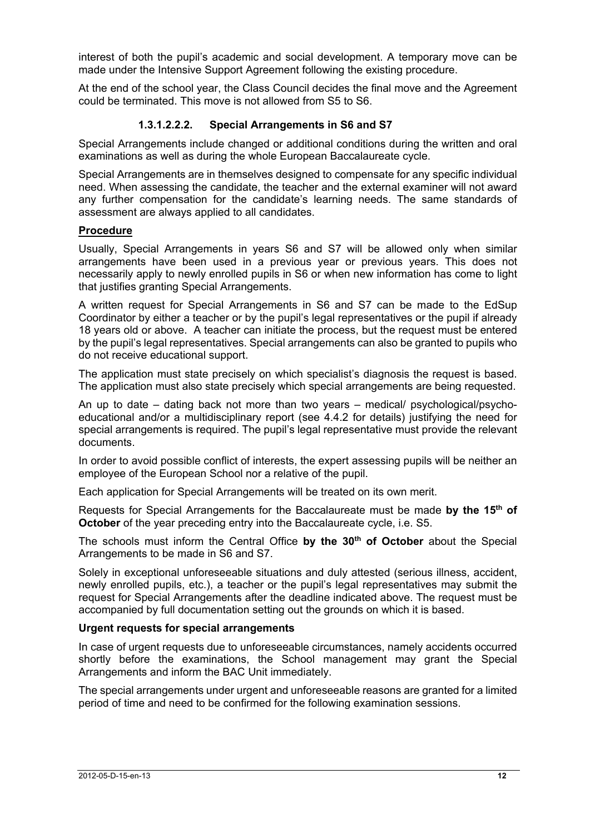interest of both the pupil's academic and social development. A temporary move can be made under the Intensive Support Agreement following the existing procedure.

At the end of the school year, the Class Council decides the final move and the Agreement could be terminated. This move is not allowed from S5 to S6.

### **1.3.1.2.2.2. Special Arrangements in S6 and S7**

Special Arrangements include changed or additional conditions during the written and oral examinations as well as during the whole European Baccalaureate cycle.

Special Arrangements are in themselves designed to compensate for any specific individual need. When assessing the candidate, the teacher and the external examiner will not award any further compensation for the candidate's learning needs. The same standards of assessment are always applied to all candidates.

#### **Procedure**

Usually, Special Arrangements in years S6 and S7 will be allowed only when similar arrangements have been used in a previous year or previous years. This does not necessarily apply to newly enrolled pupils in S6 or when new information has come to light that justifies granting Special Arrangements.

A written request for Special Arrangements in S6 and S7 can be made to the EdSup Coordinator by either a teacher or by the pupil's legal representatives or the pupil if already 18 years old or above. A teacher can initiate the process, but the request must be entered by the pupil's legal representatives. Special arrangements can also be granted to pupils who do not receive educational support.

The application must state precisely on which specialist's diagnosis the request is based. The application must also state precisely which special arrangements are being requested.

An up to date – dating back not more than two years – medical/ psychological/psychoeducational and/or a multidisciplinary report (see 4.4.2 for details) justifying the need for special arrangements is required. The pupil's legal representative must provide the relevant documents.

In order to avoid possible conflict of interests, the expert assessing pupils will be neither an employee of the European School nor a relative of the pupil.

Each application for Special Arrangements will be treated on its own merit.

Requests for Special Arrangements for the Baccalaureate must be made **by the 15th of October** of the year preceding entry into the Baccalaureate cycle, i.e. S5.

The schools must inform the Central Office **by the 30th of October** about the Special Arrangements to be made in S6 and S7.

Solely in exceptional unforeseeable situations and duly attested (serious illness, accident, newly enrolled pupils, etc.), a teacher or the pupil's legal representatives may submit the request for Special Arrangements after the deadline indicated above. The request must be accompanied by full documentation setting out the grounds on which it is based.

#### **Urgent requests for special arrangements**

In case of urgent requests due to unforeseeable circumstances, namely accidents occurred shortly before the examinations, the School management may grant the Special Arrangements and inform the BAC Unit immediately.

The special arrangements under urgent and unforeseeable reasons are granted for a limited period of time and need to be confirmed for the following examination sessions.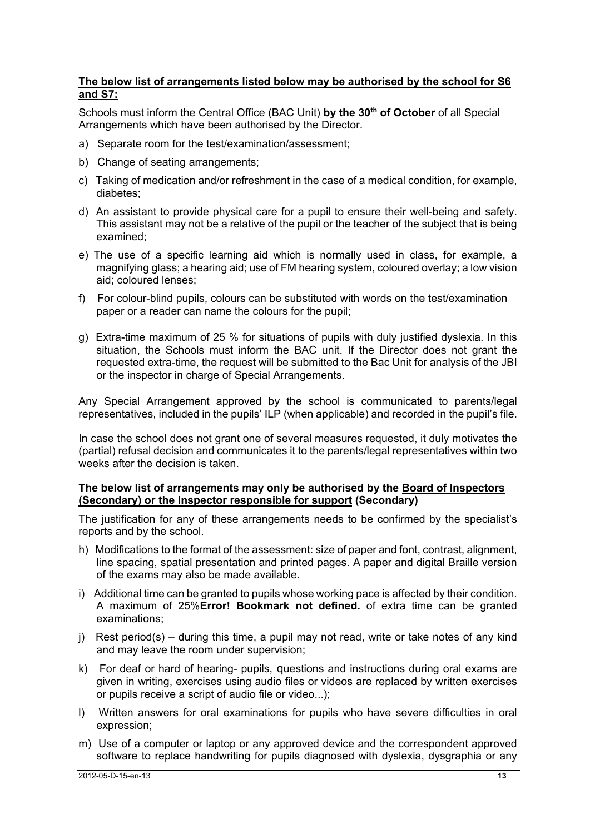### **The below list of arrangements listed below may be authorised by the school for S6 and S7:**

Schools must inform the Central Office (BAC Unit) by the 30<sup>th</sup> of October of all Special Arrangements which have been authorised by the Director.

- a) Separate room for the test/examination/assessment;
- b) Change of seating arrangements:
- c) Taking of medication and/or refreshment in the case of a medical condition, for example, diabetes;
- d) An assistant to provide physical care for a pupil to ensure their well-being and safety. This assistant may not be a relative of the pupil or the teacher of the subject that is being examined;
- e) The use of a specific learning aid which is normally used in class, for example, a magnifying glass; a hearing aid; use of FM hearing system, coloured overlay; a low vision aid; coloured lenses;
- f) For colour-blind pupils, colours can be substituted with words on the test/examination paper or a reader can name the colours for the pupil;
- g) Extra-time maximum of 25 % for situations of pupils with duly justified dyslexia. In this situation, the Schools must inform the BAC unit. If the Director does not grant the requested extra-time, the request will be submitted to the Bac Unit for analysis of the JBI or the inspector in charge of Special Arrangements.

Any Special Arrangement approved by the school is communicated to parents/legal representatives, included in the pupils' ILP (when applicable) and recorded in the pupil's file.

In case the school does not grant one of several measures requested, it duly motivates the (partial) refusal decision and communicates it to the parents/legal representatives within two weeks after the decision is taken.

#### **The below list of arrangements may only be authorised by the Board of Inspectors (Secondary) or the Inspector responsible for support (Secondary)**

The justification for any of these arrangements needs to be confirmed by the specialist's reports and by the school.

- h) Modifications to the format of the assessment: size of paper and font, contrast, alignment, line spacing, spatial presentation and printed pages. A paper and digital Braille version of the exams may also be made available.
- i) Additional time can be granted to pupils whose working pace is affected by their condition. A maximum of 25%**Error! Bookmark not defined.** of extra time can be granted examinations;
- j) Rest period(s) during this time, a pupil may not read, write or take notes of any kind and may leave the room under supervision;
- k) For deaf or hard of hearing- pupils, questions and instructions during oral exams are given in writing, exercises using audio files or videos are replaced by written exercises or pupils receive a script of audio file or video...);
- l) Written answers for oral examinations for pupils who have severe difficulties in oral expression;
- m) Use of a computer or laptop or any approved device and the correspondent approved software to replace handwriting for pupils diagnosed with dyslexia, dysgraphia or any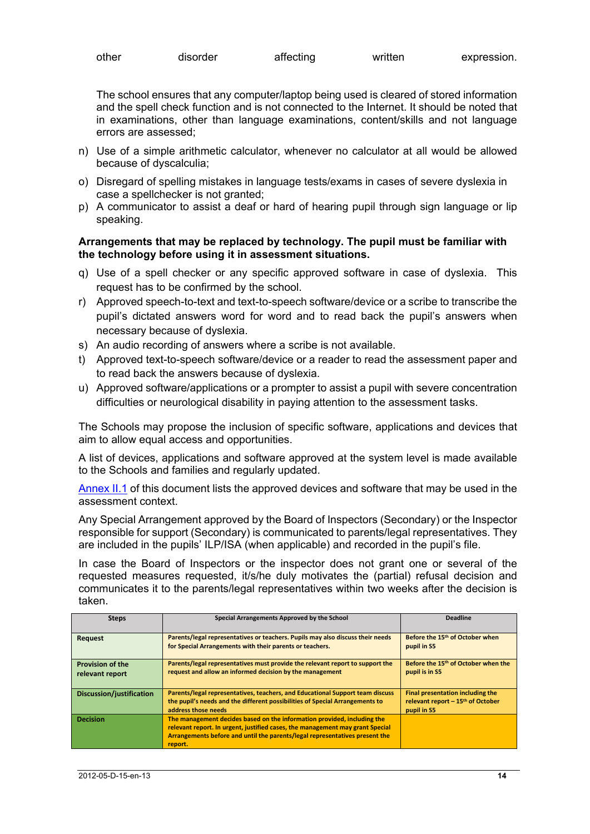| other | disorder | affecting | written | expression. |
|-------|----------|-----------|---------|-------------|
|-------|----------|-----------|---------|-------------|

The school ensures that any computer/laptop being used is cleared of stored information and the spell check function and is not connected to the Internet. It should be noted that in examinations, other than language examinations, content/skills and not language errors are assessed;

- n) Use of a simple arithmetic calculator, whenever no calculator at all would be allowed because of dyscalculia;
- o) Disregard of spelling mistakes in language tests/exams in cases of severe dyslexia in case a spellchecker is not granted;
- p) A communicator to assist a deaf or hard of hearing pupil through sign language or lip speaking.

#### **Arrangements that may be replaced by technology. The pupil must be familiar with the technology before using it in assessment situations.**

- q) Use of a spell checker or any specific approved software in case of dyslexia. This request has to be confirmed by the school.
- r) Approved speech-to-text and text-to-speech software/device or a scribe to transcribe the pupil's dictated answers word for word and to read back the pupil's answers when necessary because of dyslexia.
- s) An audio recording of answers where a scribe is not available.
- t) Approved text-to-speech software/device or a reader to read the assessment paper and to read back the answers because of dyslexia.
- u) Approved software/applications or a prompter to assist a pupil with severe concentration difficulties or neurological disability in paying attention to the assessment tasks.

The Schools may propose the inclusion of specific software, applications and devices that aim to allow equal access and opportunities.

A list of devices, applications and software approved at the system level is made available to the Schools and families and regularly updated.

Annex II.1 of this document lists the approved devices and software that may be used in the assessment context.

Any Special Arrangement approved by the Board of Inspectors (Secondary) or the Inspector responsible for support (Secondary) is communicated to parents/legal representatives. They are included in the pupils' ILP/ISA (when applicable) and recorded in the pupil's file.

In case the Board of Inspectors or the inspector does not grant one or several of the requested measures requested, it/s/he duly motivates the (partial) refusal decision and communicates it to the parents/legal representatives within two weeks after the decision is taken.

| <b>Steps</b>                               | Special Arrangements Approved by the School                                                                                                                                                                                                        | <b>Deadline</b>                                                                                  |
|--------------------------------------------|----------------------------------------------------------------------------------------------------------------------------------------------------------------------------------------------------------------------------------------------------|--------------------------------------------------------------------------------------------------|
| Request                                    | Parents/legal representatives or teachers. Pupils may also discuss their needs<br>for Special Arrangements with their parents or teachers.                                                                                                         | Before the 15 <sup>th</sup> of October when<br>pupil in S5                                       |
| <b>Provision of the</b><br>relevant report | Parents/legal representatives must provide the relevant report to support the<br>request and allow an informed decision by the management                                                                                                          | Before the 15 <sup>th</sup> of October when the<br>pupil is in S5                                |
| Discussion/justification                   | Parents/legal representatives, teachers, and Educational Support team discuss<br>the pupil's needs and the different possibilities of Special Arrangements to<br>address those needs                                                               | Final presentation including the<br>relevant report - 15 <sup>th</sup> of October<br>pupil in S5 |
| <b>Decision</b>                            | The management decides based on the information provided, including the<br>relevant report. In urgent, justified cases, the management may grant Special<br>Arrangements before and until the parents/legal representatives present the<br>report. |                                                                                                  |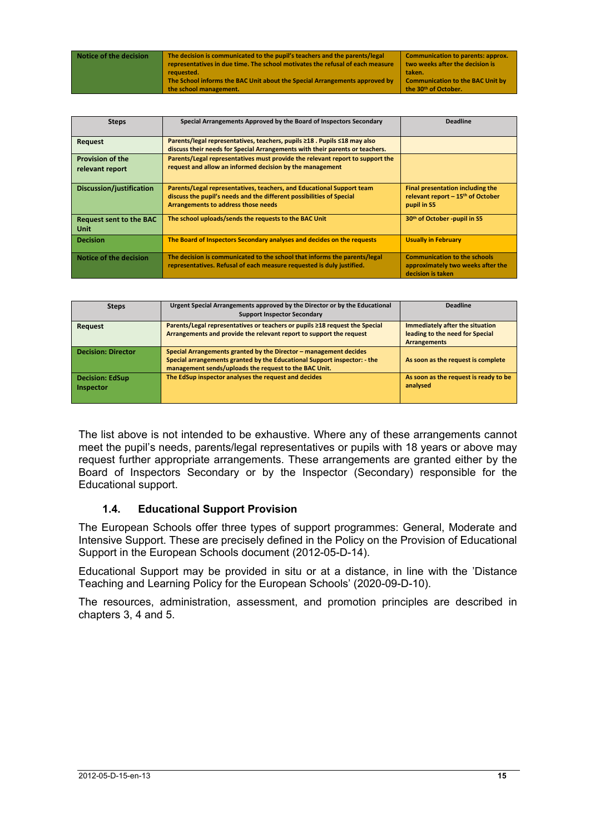| Notice of the decision | The decision is communicated to the pupil's teachers and the parents/legal    | Communication to parents: approx.       |
|------------------------|-------------------------------------------------------------------------------|-----------------------------------------|
|                        | representatives in due time. The school motivates the refusal of each measure | two weeks after the decision is         |
|                        | requested.                                                                    | taken.                                  |
|                        | The School informs the BAC Unit about the Special Arrangements approved by    | <b>Communication to the BAC Unit by</b> |
|                        | the school management.                                                        | the 30 <sup>th</sup> of October.        |

| <b>Steps</b>                                  | Special Arrangements Approved by the Board of Inspectors Secondary                                                                                                                   | <b>Deadline</b>                                                                               |
|-----------------------------------------------|--------------------------------------------------------------------------------------------------------------------------------------------------------------------------------------|-----------------------------------------------------------------------------------------------|
| Request                                       | Parents/legal representatives, teachers, pupils ≥18 . Pupils ≤18 may also<br>discuss their needs for Special Arrangements with their parents or teachers.                            |                                                                                               |
| <b>Provision of the</b><br>relevant report    | Parents/Legal representatives must provide the relevant report to support the<br>request and allow an informed decision by the management                                            |                                                                                               |
| Discussion/justification                      | Parents/Legal representatives, teachers, and Educational Support team<br>discuss the pupil's needs and the different possibilities of Special<br>Arrangements to address those needs | Final presentation including the<br>relevant report $-15th$ of October<br>pupil in S5         |
| <b>Request sent to the BAC</b><br><b>Unit</b> | The school uploads/sends the requests to the BAC Unit                                                                                                                                | 30 <sup>th</sup> of October -pupil in S5                                                      |
| <b>Decision</b>                               | The Board of Inspectors Secondary analyses and decides on the requests                                                                                                               | <b>Usually in February</b>                                                                    |
| Notice of the decision                        | The decision is communicated to the school that informs the parents/legal<br>representatives. Refusal of each measure requested is duly justified.                                   | <b>Communication to the schools</b><br>approximately two weeks after the<br>decision is taken |

| <b>Steps</b>              | Urgent Special Arrangements approved by the Director or by the Educational  | <b>Deadline</b>                       |
|---------------------------|-----------------------------------------------------------------------------|---------------------------------------|
|                           | <b>Support Inspector Secondary</b>                                          |                                       |
| <b>Request</b>            | Parents/Legal representatives or teachers or pupils ≥18 request the Special | Immediately after the situation       |
|                           | Arrangements and provide the relevant report to support the request         | leading to the need for Special       |
|                           |                                                                             | <b>Arrangements</b>                   |
| <b>Decision: Director</b> | Special Arrangements granted by the Director - management decides           |                                       |
|                           | Special arrangements granted by the Educational Support inspector: - the    | As soon as the request is complete    |
|                           | management sends/uploads the request to the BAC Unit.                       |                                       |
| <b>Decision: EdSup</b>    | The EdSup inspector analyses the request and decides                        | As soon as the request is ready to be |
| <b>Inspector</b>          |                                                                             | analysed                              |
|                           |                                                                             |                                       |
|                           |                                                                             |                                       |

The list above is not intended to be exhaustive. Where any of these arrangements cannot meet the pupil's needs, parents/legal representatives or pupils with 18 years or above may request further appropriate arrangements. These arrangements are granted either by the Board of Inspectors Secondary or by the Inspector (Secondary) responsible for the Educational support.

### **1.4. Educational Support Provision**

The European Schools offer three types of support programmes: General, Moderate and Intensive Support. These are precisely defined in the Policy on the Provision of Educational Support in the European Schools document (2012-05-D-14).

Educational Support may be provided in situ or at a distance, in line with the 'Distance Teaching and Learning Policy for the European Schools' (2020-09-D-10).

The resources, administration, assessment, and promotion principles are described in chapters 3, 4 and 5.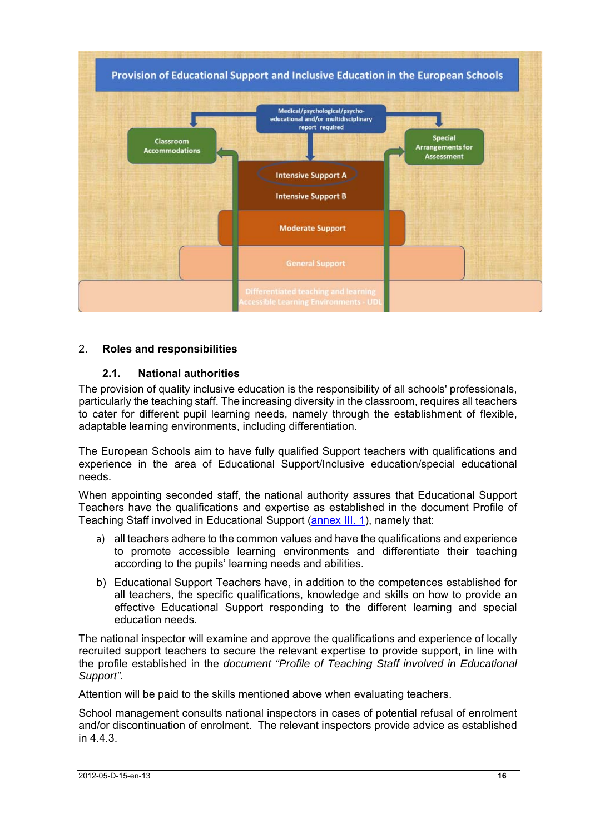

## 2. **Roles and responsibilities**

### **2.1. National authorities**

The provision of quality inclusive education is the responsibility of all schools' professionals, particularly the teaching staff. The increasing diversity in the classroom, requires all teachers to cater for different pupil learning needs, namely through the establishment of flexible, adaptable learning environments, including differentiation.

The European Schools aim to have fully qualified Support teachers with qualifications and experience in the area of Educational Support/Inclusive education/special educational needs.

When appointing seconded staff, the national authority assures that Educational Support Teachers have the qualifications and expertise as established in the document Profile of Teaching Staff involved in Educational Support (annex III. 1), namely that:

- a) all teachers adhere to the common values and have the qualifications and experience to promote accessible learning environments and differentiate their teaching according to the pupils' learning needs and abilities.
- b) Educational Support Teachers have, in addition to the competences established for all teachers, the specific qualifications, knowledge and skills on how to provide an effective Educational Support responding to the different learning and special education needs.

The national inspector will examine and approve the qualifications and experience of locally recruited support teachers to secure the relevant expertise to provide support, in line with the profile established in the *document "Profile of Teaching Staff involved in Educational Support"*.

Attention will be paid to the skills mentioned above when evaluating teachers.

School management consults national inspectors in cases of potential refusal of enrolment and/or discontinuation of enrolment. The relevant inspectors provide advice as established in 4.4.3.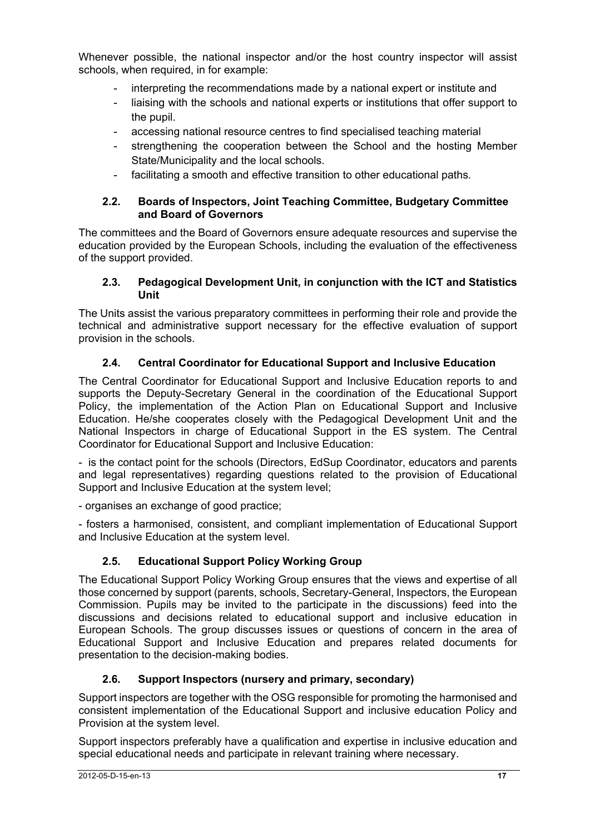Whenever possible, the national inspector and/or the host country inspector will assist schools, when required, in for example:

- interpreting the recommendations made by a national expert or institute and
- liaising with the schools and national experts or institutions that offer support to the pupil.
- accessing national resource centres to find specialised teaching material
- strengthening the cooperation between the School and the hosting Member State/Municipality and the local schools.
- facilitating a smooth and effective transition to other educational paths.

### **2.2. Boards of Inspectors, Joint Teaching Committee, Budgetary Committee and Board of Governors**

The committees and the Board of Governors ensure adequate resources and supervise the education provided by the European Schools, including the evaluation of the effectiveness of the support provided.

### **2.3. Pedagogical Development Unit, in conjunction with the ICT and Statistics Unit**

The Units assist the various preparatory committees in performing their role and provide the technical and administrative support necessary for the effective evaluation of support provision in the schools.

## **2.4. Central Coordinator for Educational Support and Inclusive Education**

The Central Coordinator for Educational Support and Inclusive Education reports to and supports the Deputy-Secretary General in the coordination of the Educational Support Policy, the implementation of the Action Plan on Educational Support and Inclusive Education. He/she cooperates closely with the Pedagogical Development Unit and the National Inspectors in charge of Educational Support in the ES system. The Central Coordinator for Educational Support and Inclusive Education:

- is the contact point for the schools (Directors, EdSup Coordinator, educators and parents and legal representatives) regarding questions related to the provision of Educational Support and Inclusive Education at the system level;

- organises an exchange of good practice;

- fosters a harmonised, consistent, and compliant implementation of Educational Support and Inclusive Education at the system level.

## **2.5. Educational Support Policy Working Group**

The Educational Support Policy Working Group ensures that the views and expertise of all those concerned by support (parents, schools, Secretary-General, Inspectors, the European Commission. Pupils may be invited to the participate in the discussions) feed into the discussions and decisions related to educational support and inclusive education in European Schools. The group discusses issues or questions of concern in the area of Educational Support and Inclusive Education and prepares related documents for presentation to the decision-making bodies.

## **2.6. Support Inspectors (nursery and primary, secondary)**

Support inspectors are together with the OSG responsible for promoting the harmonised and consistent implementation of the Educational Support and inclusive education Policy and Provision at the system level.

Support inspectors preferably have a qualification and expertise in inclusive education and special educational needs and participate in relevant training where necessary.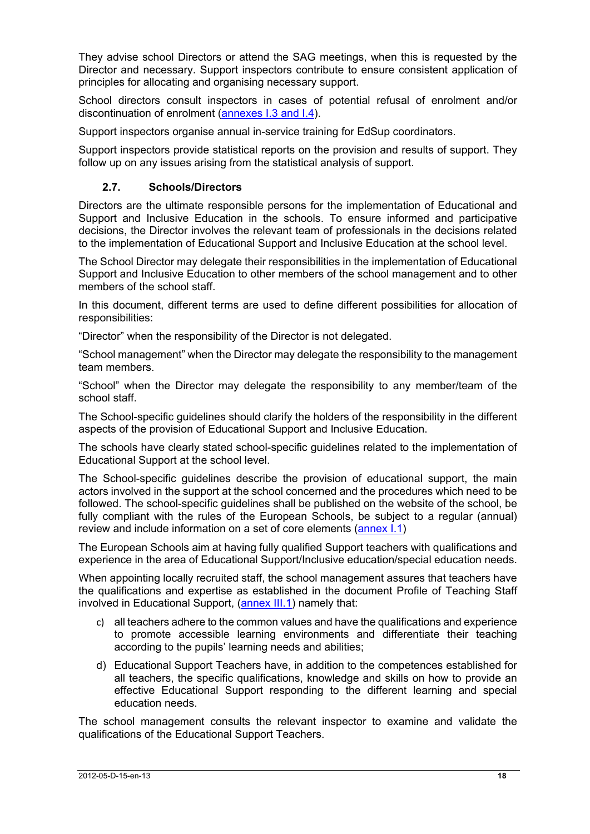They advise school Directors or attend the SAG meetings, when this is requested by the Director and necessary. Support inspectors contribute to ensure consistent application of principles for allocating and organising necessary support.

School directors consult inspectors in cases of potential refusal of enrolment and/or discontinuation of enrolment (annexes I.3 and I.4).

Support inspectors organise annual in-service training for EdSup coordinators.

Support inspectors provide statistical reports on the provision and results of support. They follow up on any issues arising from the statistical analysis of support.

## **2.7. Schools/Directors**

Directors are the ultimate responsible persons for the implementation of Educational and Support and Inclusive Education in the schools. To ensure informed and participative decisions, the Director involves the relevant team of professionals in the decisions related to the implementation of Educational Support and Inclusive Education at the school level.

The School Director may delegate their responsibilities in the implementation of Educational Support and Inclusive Education to other members of the school management and to other members of the school staff.

In this document, different terms are used to define different possibilities for allocation of responsibilities:

"Director" when the responsibility of the Director is not delegated.

"School management" when the Director may delegate the responsibility to the management team members.

"School" when the Director may delegate the responsibility to any member/team of the school staff.

The School-specific guidelines should clarify the holders of the responsibility in the different aspects of the provision of Educational Support and Inclusive Education.

The schools have clearly stated school-specific guidelines related to the implementation of Educational Support at the school level.

The School-specific guidelines describe the provision of educational support, the main actors involved in the support at the school concerned and the procedures which need to be followed. The school-specific guidelines shall be published on the website of the school, be fully compliant with the rules of the European Schools, be subject to a regular (annual) review and include information on a set of core elements (annex I.1)

The European Schools aim at having fully qualified Support teachers with qualifications and experience in the area of Educational Support/Inclusive education/special education needs.

When appointing locally recruited staff, the school management assures that teachers have the qualifications and expertise as established in the document Profile of Teaching Staff involved in Educational Support, (annex III.1) namely that:

- c) all teachers adhere to the common values and have the qualifications and experience to promote accessible learning environments and differentiate their teaching according to the pupils' learning needs and abilities;
- d) Educational Support Teachers have, in addition to the competences established for all teachers, the specific qualifications, knowledge and skills on how to provide an effective Educational Support responding to the different learning and special education needs.

The school management consults the relevant inspector to examine and validate the qualifications of the Educational Support Teachers.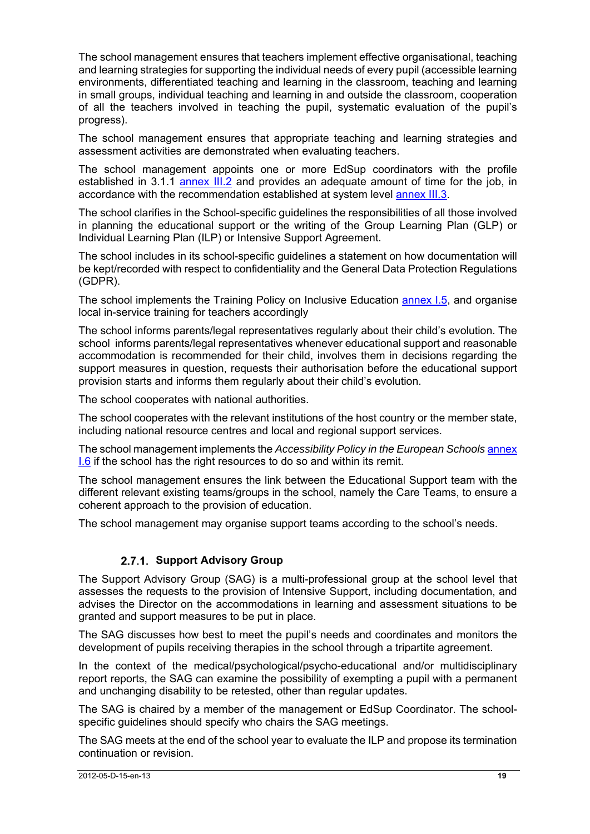The school management ensures that teachers implement effective organisational, teaching and learning strategies for supporting the individual needs of every pupil (accessible learning environments, differentiated teaching and learning in the classroom, teaching and learning in small groups, individual teaching and learning in and outside the classroom, cooperation of all the teachers involved in teaching the pupil, systematic evaluation of the pupil's progress).

The school management ensures that appropriate teaching and learning strategies and assessment activities are demonstrated when evaluating teachers.

The school management appoints one or more EdSup coordinators with the profile established in 3.1.1 annex III.2 and provides an adequate amount of time for the job, in accordance with the recommendation established at system level annex III.3.

The school clarifies in the School-specific guidelines the responsibilities of all those involved in planning the educational support or the writing of the Group Learning Plan (GLP) or Individual Learning Plan (ILP) or Intensive Support Agreement.

The school includes in its school-specific guidelines a statement on how documentation will be kept/recorded with respect to confidentiality and the General Data Protection Regulations (GDPR).

The school implements the Training Policy on Inclusive Education annex I.5, and organise local in-service training for teachers accordingly

The school informs parents/legal representatives regularly about their child's evolution. The school informs parents/legal representatives whenever educational support and reasonable accommodation is recommended for their child, involves them in decisions regarding the support measures in question, requests their authorisation before the educational support provision starts and informs them regularly about their child's evolution.

The school cooperates with national authorities.

The school cooperates with the relevant institutions of the host country or the member state, including national resource centres and local and regional support services.

The school management implements the *Accessibility Policy in the European Schools* annex I.6 if the school has the right resources to do so and within its remit.

The school management ensures the link between the Educational Support team with the different relevant existing teams/groups in the school, namely the Care Teams, to ensure a coherent approach to the provision of education.

The school management may organise support teams according to the school's needs.

## **2.7.1. Support Advisory Group**

The Support Advisory Group (SAG) is a multi-professional group at the school level that assesses the requests to the provision of Intensive Support, including documentation, and advises the Director on the accommodations in learning and assessment situations to be granted and support measures to be put in place.

The SAG discusses how best to meet the pupil's needs and coordinates and monitors the development of pupils receiving therapies in the school through a tripartite agreement.

In the context of the medical/psychological/psycho-educational and/or multidisciplinary report reports, the SAG can examine the possibility of exempting a pupil with a permanent and unchanging disability to be retested, other than regular updates.

The SAG is chaired by a member of the management or EdSup Coordinator. The schoolspecific guidelines should specify who chairs the SAG meetings.

The SAG meets at the end of the school year to evaluate the ILP and propose its termination continuation or revision.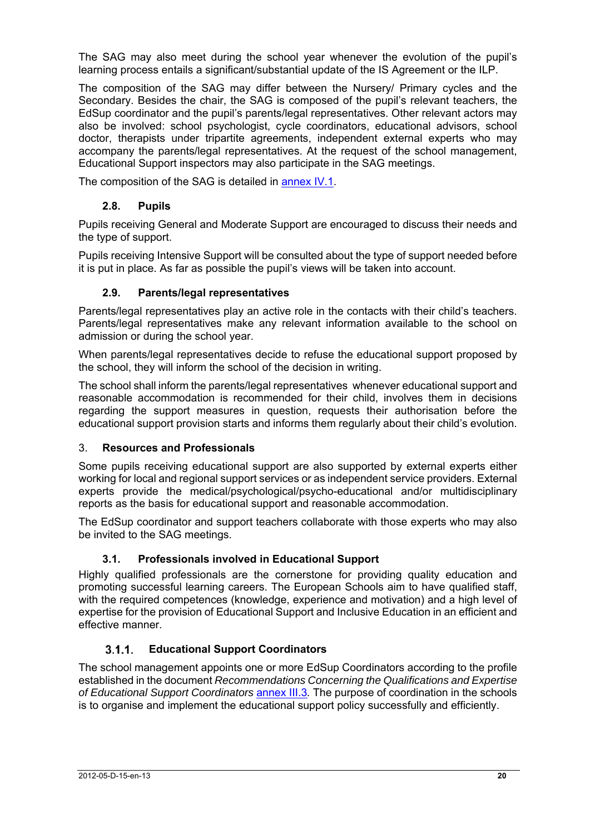The SAG may also meet during the school year whenever the evolution of the pupil's learning process entails a significant/substantial update of the IS Agreement or the ILP.

The composition of the SAG may differ between the Nursery/ Primary cycles and the Secondary. Besides the chair, the SAG is composed of the pupil's relevant teachers, the EdSup coordinator and the pupil's parents/legal representatives. Other relevant actors may also be involved: school psychologist, cycle coordinators, educational advisors, school doctor, therapists under tripartite agreements, independent external experts who may accompany the parents/legal representatives. At the request of the school management, Educational Support inspectors may also participate in the SAG meetings.

The composition of the SAG is detailed in annex IV.1.

## **2.8. Pupils**

Pupils receiving General and Moderate Support are encouraged to discuss their needs and the type of support.

Pupils receiving Intensive Support will be consulted about the type of support needed before it is put in place. As far as possible the pupil's views will be taken into account.

## **2.9. Parents/legal representatives**

Parents/legal representatives play an active role in the contacts with their child's teachers. Parents/legal representatives make any relevant information available to the school on admission or during the school year.

When parents/legal representatives decide to refuse the educational support proposed by the school, they will inform the school of the decision in writing.

The school shall inform the parents/legal representatives whenever educational support and reasonable accommodation is recommended for their child, involves them in decisions regarding the support measures in question, requests their authorisation before the educational support provision starts and informs them regularly about their child's evolution.

### 3. **Resources and Professionals**

Some pupils receiving educational support are also supported by external experts either working for local and regional support services or as independent service providers. External experts provide the medical/psychological/psycho-educational and/or multidisciplinary reports as the basis for educational support and reasonable accommodation.

The EdSup coordinator and support teachers collaborate with those experts who may also be invited to the SAG meetings.

## **3.1. Professionals involved in Educational Support**

Highly qualified professionals are the cornerstone for providing quality education and promoting successful learning careers. The European Schools aim to have qualified staff, with the required competences (knowledge, experience and motivation) and a high level of expertise for the provision of Educational Support and Inclusive Education in an efficient and effective manner.

## **Educational Support Coordinators**

The school management appoints one or more EdSup Coordinators according to the profile established in the document *Recommendations Concerning the Qualifications and Expertise of Educational Support Coordinators* annex III.3*.* The purpose of coordination in the schools is to organise and implement the educational support policy successfully and efficiently.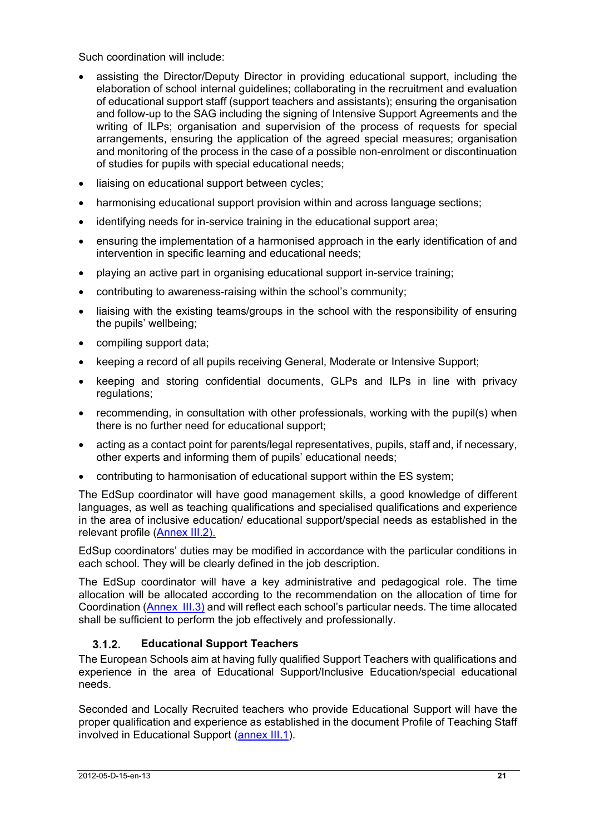Such coordination will include:

- assisting the Director/Deputy Director in providing educational support, including the elaboration of school internal guidelines; collaborating in the recruitment and evaluation of educational support staff (support teachers and assistants); ensuring the organisation and follow-up to the SAG including the signing of Intensive Support Agreements and the writing of ILPs; organisation and supervision of the process of requests for special arrangements, ensuring the application of the agreed special measures; organisation and monitoring of the process in the case of a possible non-enrolment or discontinuation of studies for pupils with special educational needs;
- liaising on educational support between cycles;
- harmonising educational support provision within and across language sections;
- identifying needs for in-service training in the educational support area;
- ensuring the implementation of a harmonised approach in the early identification of and intervention in specific learning and educational needs;
- playing an active part in organising educational support in-service training;
- contributing to awareness-raising within the school's community;
- liaising with the existing teams/groups in the school with the responsibility of ensuring the pupils' wellbeing;
- compiling support data;
- keeping a record of all pupils receiving General, Moderate or Intensive Support;
- keeping and storing confidential documents. GLPs and ILPs in line with privacy regulations;
- recommending, in consultation with other professionals, working with the pupil(s) when there is no further need for educational support;
- acting as a contact point for parents/legal representatives, pupils, staff and, if necessary, other experts and informing them of pupils' educational needs;
- contributing to harmonisation of educational support within the ES system;

The EdSup coordinator will have good management skills, a good knowledge of different languages, as well as teaching qualifications and specialised qualifications and experience in the area of inclusive education/ educational support/special needs as established in the relevant profile (Annex III.2).

EdSup coordinators' duties may be modified in accordance with the particular conditions in each school. They will be clearly defined in the job description.

The EdSup coordinator will have a key administrative and pedagogical role. The time allocation will be allocated according to the recommendation on the allocation of time for Coordination (Annex III.3) and will reflect each school's particular needs. The time allocated shall be sufficient to perform the job effectively and professionally.

## **Educational Support Teachers**

The European Schools aim at having fully qualified Support Teachers with qualifications and experience in the area of Educational Support/Inclusive Education/special educational needs.

Seconded and Locally Recruited teachers who provide Educational Support will have the proper qualification and experience as established in the document Profile of Teaching Staff involved in Educational Support (annex III.1).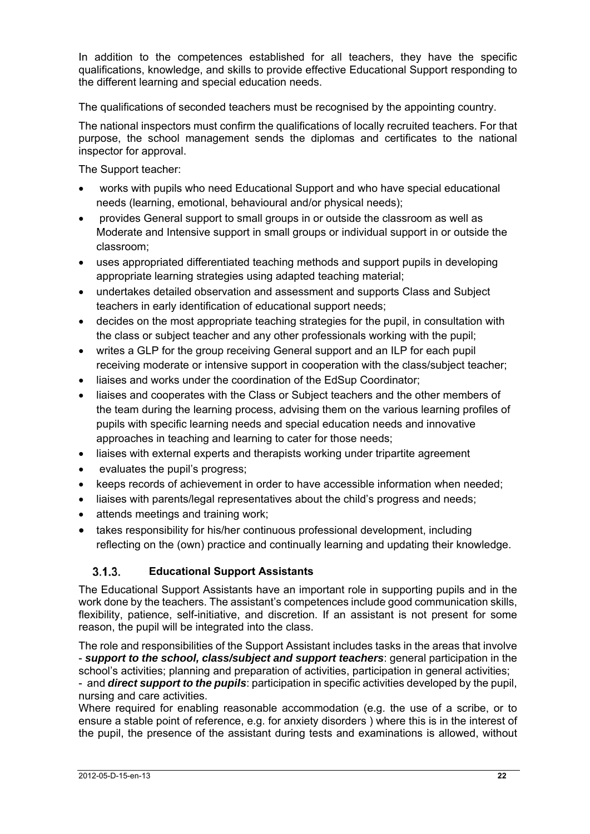In addition to the competences established for all teachers, they have the specific qualifications, knowledge, and skills to provide effective Educational Support responding to the different learning and special education needs.

The qualifications of seconded teachers must be recognised by the appointing country.

The national inspectors must confirm the qualifications of locally recruited teachers. For that purpose, the school management sends the diplomas and certificates to the national inspector for approval.

The Support teacher:

- works with pupils who need Educational Support and who have special educational needs (learning, emotional, behavioural and/or physical needs);
- provides General support to small groups in or outside the classroom as well as Moderate and Intensive support in small groups or individual support in or outside the classroom;
- uses appropriated differentiated teaching methods and support pupils in developing appropriate learning strategies using adapted teaching material;
- undertakes detailed observation and assessment and supports Class and Subject teachers in early identification of educational support needs;
- decides on the most appropriate teaching strategies for the pupil, in consultation with the class or subject teacher and any other professionals working with the pupil;
- writes a GLP for the group receiving General support and an ILP for each pupil receiving moderate or intensive support in cooperation with the class/subject teacher;
- liaises and works under the coordination of the EdSup Coordinator;
- liaises and cooperates with the Class or Subiect teachers and the other members of the team during the learning process, advising them on the various learning profiles of pupils with specific learning needs and special education needs and innovative approaches in teaching and learning to cater for those needs;
- liaises with external experts and therapists working under tripartite agreement
- evaluates the pupil's progress;
- keeps records of achievement in order to have accessible information when needed;
- liaises with parents/legal representatives about the child's progress and needs;
- attends meetings and training work;
- takes responsibility for his/her continuous professional development, including reflecting on the (own) practice and continually learning and updating their knowledge.

## **Educational Support Assistants**

The Educational Support Assistants have an important role in supporting pupils and in the work done by the teachers. The assistant's competences include good communication skills, flexibility, patience, self-initiative, and discretion. If an assistant is not present for some reason, the pupil will be integrated into the class.

The role and responsibilities of the Support Assistant includes tasks in the areas that involve - *support to the school, class/subject and support teachers*: general participation in the school's activities; planning and preparation of activities, participation in general activities;

- and *direct support to the pupils*: participation in specific activities developed by the pupil, nursing and care activities.

Where required for enabling reasonable accommodation (e.g. the use of a scribe, or to ensure a stable point of reference, e.g. for anxiety disorders ) where this is in the interest of the pupil, the presence of the assistant during tests and examinations is allowed, without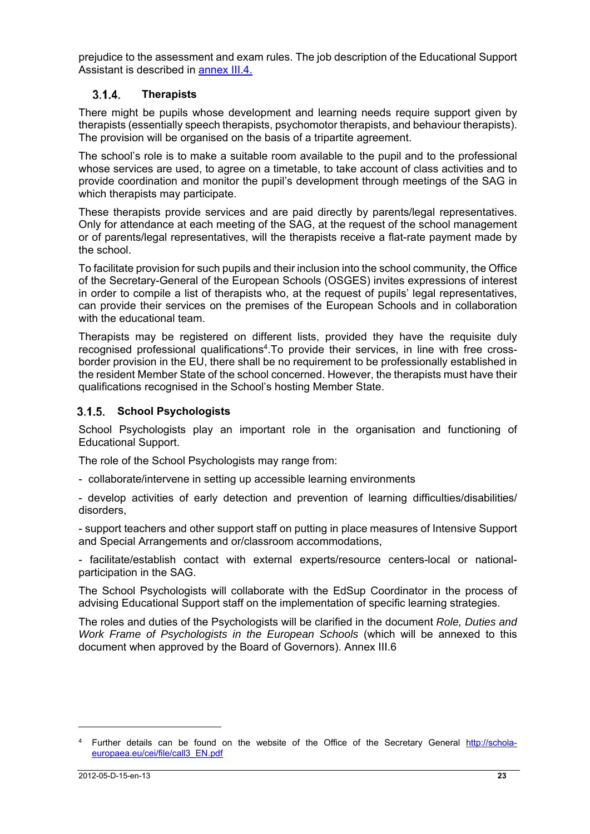prejudice to the assessment and exam rules. The job description of the Educational Support Assistant is described in annex III.4.

## **Therapists**

There might be pupils whose development and learning needs require support given by therapists (essentially speech therapists, psychomotor therapists, and behaviour therapists). The provision will be organised on the basis of a tripartite agreement.

The school's role is to make a suitable room available to the pupil and to the professional whose services are used, to agree on a timetable, to take account of class activities and to provide coordination and monitor the pupil's development through meetings of the SAG in which therapists may participate.

These therapists provide services and are paid directly by parents/legal representatives. Only for attendance at each meeting of the SAG, at the request of the school management or of parents/legal representatives, will the therapists receive a flat-rate payment made by the school.

To facilitate provision for such pupils and their inclusion into the school community, the Office of the Secretary-General of the European Schools (OSGES) invites expressions of interest in order to compile a list of therapists who, at the request of pupils' legal representatives, can provide their services on the premises of the European Schools and in collaboration with the educational team.

Therapists may be registered on different lists, provided they have the requisite duly recognised professional qualifications<sup>4</sup>. To provide their services, in line with free crossborder provision in the EU, there shall be no requirement to be professionally established in the resident Member State of the school concerned. However, the therapists must have their qualifications recognised in the School's hosting Member State.

### **School Psychologists**

School Psychologists play an important role in the organisation and functioning of Educational Support.

The role of the School Psychologists may range from:

- collaborate/intervene in setting up accessible learning environments

- develop activities of early detection and prevention of learning difficulties/disabilities/ disorders,

- support teachers and other support staff on putting in place measures of Intensive Support and Special Arrangements and or/classroom accommodations,

- facilitate/establish contact with external experts/resource centers-local or nationalparticipation in the SAG.

The School Psychologists will collaborate with the EdSup Coordinator in the process of advising Educational Support staff on the implementation of specific learning strategies.

The roles and duties of the Psychologists will be clarified in the document *Role, Duties and Work Frame of Psychologists in the European Schools* (which will be annexed to this document when approved by the Board of Governors). Annex III.6

<sup>&</sup>lt;sup>4</sup> Further details can be found on the website of the Office of the Secretary General http://scholaeuropaea.eu/cei/file/call3\_EN.pdf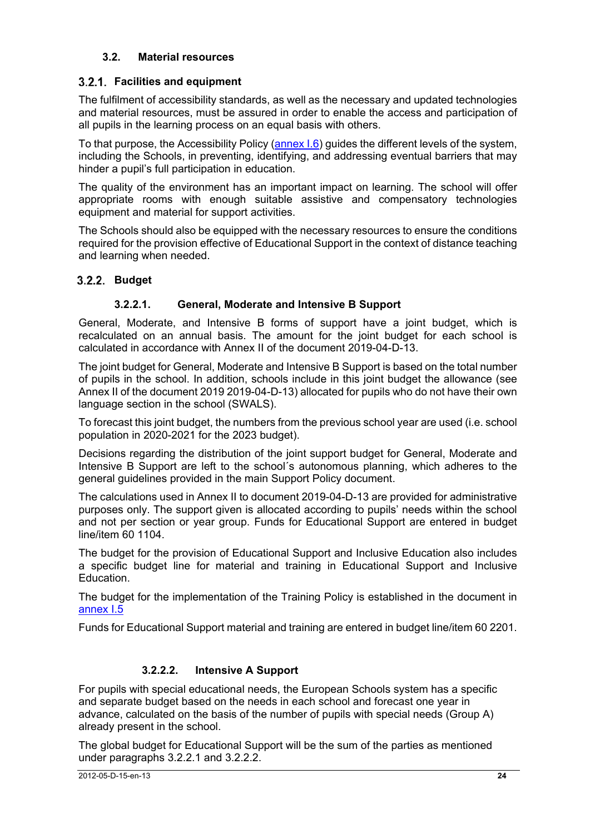## **3.2. Material resources**

## **Facilities and equipment**

The fulfilment of accessibility standards, as well as the necessary and updated technologies and material resources, must be assured in order to enable the access and participation of all pupils in the learning process on an equal basis with others.

To that purpose, the Accessibility Policy (annex I.6) guides the different levels of the system, including the Schools, in preventing, identifying, and addressing eventual barriers that may hinder a pupil's full participation in education.

The quality of the environment has an important impact on learning. The school will offer appropriate rooms with enough suitable assistive and compensatory technologies equipment and material for support activities.

The Schools should also be equipped with the necessary resources to ensure the conditions required for the provision effective of Educational Support in the context of distance teaching and learning when needed.

## **Budget**

## **3.2.2.1. General, Moderate and Intensive B Support**

General, Moderate, and Intensive B forms of support have a joint budget, which is recalculated on an annual basis. The amount for the joint budget for each school is calculated in accordance with Annex II of the document 2019-04-D-13.

The joint budget for General, Moderate and Intensive B Support is based on the total number of pupils in the school. In addition, schools include in this joint budget the allowance (see Annex II of the document 2019 2019-04-D-13) allocated for pupils who do not have their own language section in the school (SWALS).

To forecast this joint budget, the numbers from the previous school year are used (i.e. school population in 2020-2021 for the 2023 budget).

Decisions regarding the distribution of the joint support budget for General, Moderate and Intensive B Support are left to the school´s autonomous planning, which adheres to the general guidelines provided in the main Support Policy document.

The calculations used in Annex II to document 2019-04-D-13 are provided for administrative purposes only. The support given is allocated according to pupils' needs within the school and not per section or year group. Funds for Educational Support are entered in budget line/item 60 1104.

The budget for the provision of Educational Support and Inclusive Education also includes a specific budget line for material and training in Educational Support and Inclusive Education.

The budget for the implementation of the Training Policy is established in the document in annex I.5

Funds for Educational Support material and training are entered in budget line/item 60 2201.

## **3.2.2.2. Intensive A Support**

For pupils with special educational needs, the European Schools system has a specific and separate budget based on the needs in each school and forecast one year in advance, calculated on the basis of the number of pupils with special needs (Group A) already present in the school.

The global budget for Educational Support will be the sum of the parties as mentioned under paragraphs 3.2.2.1 and 3.2.2.2.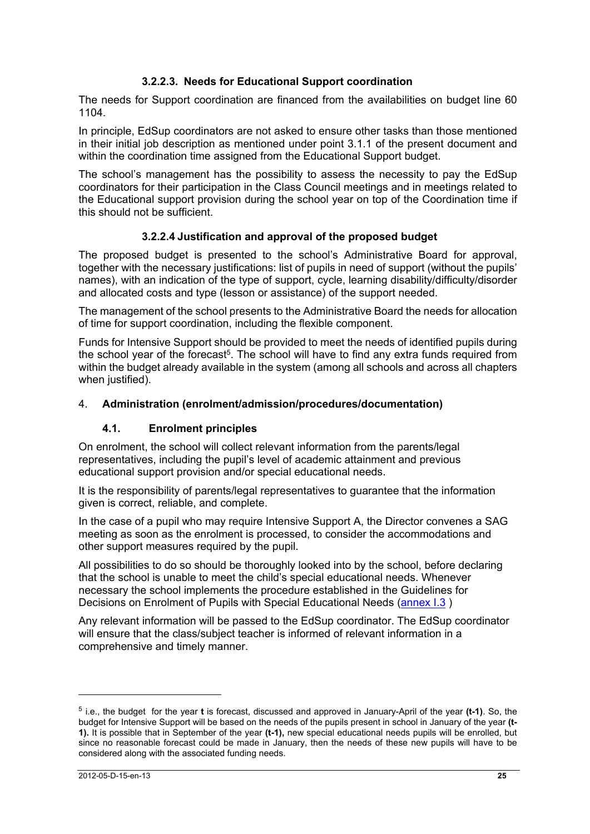## **3.2.2.3. Needs for Educational Support coordination**

The needs for Support coordination are financed from the availabilities on budget line 60 1104.

In principle, EdSup coordinators are not asked to ensure other tasks than those mentioned in their initial job description as mentioned under point 3.1.1 of the present document and within the coordination time assigned from the Educational Support budget.

The school's management has the possibility to assess the necessity to pay the EdSup coordinators for their participation in the Class Council meetings and in meetings related to the Educational support provision during the school year on top of the Coordination time if this should not be sufficient.

## **3.2.2.4 Justification and approval of the proposed budget**

The proposed budget is presented to the school's Administrative Board for approval, together with the necessary justifications: list of pupils in need of support (without the pupils' names), with an indication of the type of support, cycle, learning disability/difficulty/disorder and allocated costs and type (lesson or assistance) of the support needed.

The management of the school presents to the Administrative Board the needs for allocation of time for support coordination, including the flexible component.

Funds for Intensive Support should be provided to meet the needs of identified pupils during the school year of the forecast<sup>5</sup>. The school will have to find any extra funds required from within the budget already available in the system (among all schools and across all chapters when justified).

### 4. **Administration (enrolment/admission/procedures/documentation)**

### **4.1. Enrolment principles**

On enrolment, the school will collect relevant information from the parents/legal representatives, including the pupil's level of academic attainment and previous educational support provision and/or special educational needs.

It is the responsibility of parents/legal representatives to guarantee that the information given is correct, reliable, and complete.

In the case of a pupil who may require Intensive Support A, the Director convenes a SAG meeting as soon as the enrolment is processed, to consider the accommodations and other support measures required by the pupil.

All possibilities to do so should be thoroughly looked into by the school, before declaring that the school is unable to meet the child's special educational needs. Whenever necessary the school implements the procedure established in the Guidelines for Decisions on Enrolment of Pupils with Special Educational Needs (annex I.3 )

Any relevant information will be passed to the EdSup coordinator. The EdSup coordinator will ensure that the class/subject teacher is informed of relevant information in a comprehensive and timely manner.

<sup>5</sup> i.e., the budget for the year **t** is forecast, discussed and approved in January-April of the year **(t-1)**. So, the budget for Intensive Support will be based on the needs of the pupils present in school in January of the year **(t-1).** It is possible that in September of the year **(t-1),** new special educational needs pupils will be enrolled, but since no reasonable forecast could be made in January, then the needs of these new pupils will have to be considered along with the associated funding needs.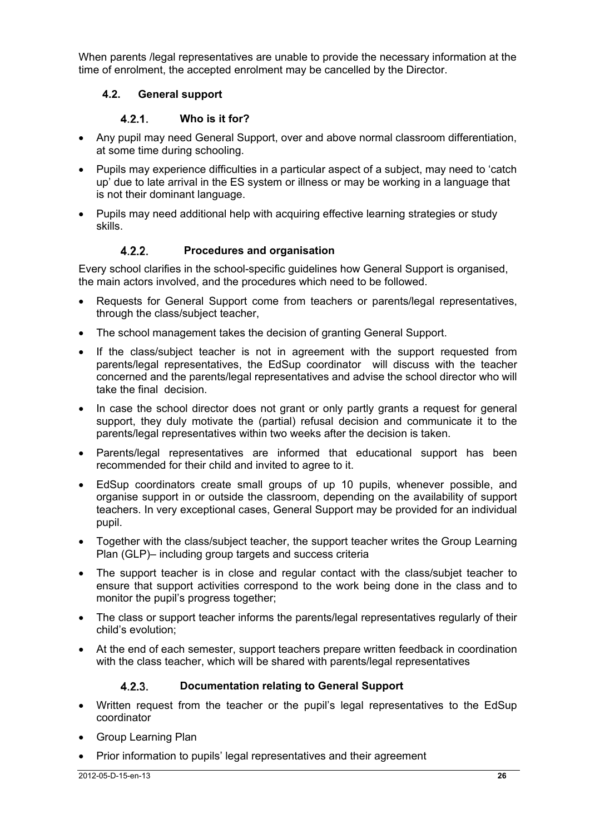When parents /legal representatives are unable to provide the necessary information at the time of enrolment, the accepted enrolment may be cancelled by the Director.

## **4.2. General support**

## **Who is it for?**

- Any pupil may need General Support, over and above normal classroom differentiation, at some time during schooling.
- Pupils may experience difficulties in a particular aspect of a subject, may need to 'catch up' due to late arrival in the ES system or illness or may be working in a language that is not their dominant language.
- Pupils may need additional help with acquiring effective learning strategies or study skills.

## **Procedures and organisation**

Every school clarifies in the school-specific guidelines how General Support is organised, the main actors involved, and the procedures which need to be followed.

- Requests for General Support come from teachers or parents/legal representatives, through the class/subject teacher,
- The school management takes the decision of granting General Support.
- If the class/subject teacher is not in agreement with the support requested from parents/legal representatives, the EdSup coordinator will discuss with the teacher concerned and the parents/legal representatives and advise the school director who will take the final decision.
- In case the school director does not grant or only partly grants a request for general support, they duly motivate the (partial) refusal decision and communicate it to the parents/legal representatives within two weeks after the decision is taken.
- Parents/legal representatives are informed that educational support has been recommended for their child and invited to agree to it.
- EdSup coordinators create small groups of up 10 pupils, whenever possible, and organise support in or outside the classroom, depending on the availability of support teachers. In very exceptional cases, General Support may be provided for an individual pupil.
- Together with the class/subject teacher, the support teacher writes the Group Learning Plan (GLP)– including group targets and success criteria
- The support teacher is in close and regular contact with the class/subjet teacher to ensure that support activities correspond to the work being done in the class and to monitor the pupil's progress together;
- The class or support teacher informs the parents/legal representatives regularly of their child's evolution;
- At the end of each semester, support teachers prepare written feedback in coordination with the class teacher, which will be shared with parents/legal representatives

## **Documentation relating to General Support**

- Written request from the teacher or the pupil's legal representatives to the EdSup coordinator
- Group Learning Plan
- Prior information to pupils' legal representatives and their agreement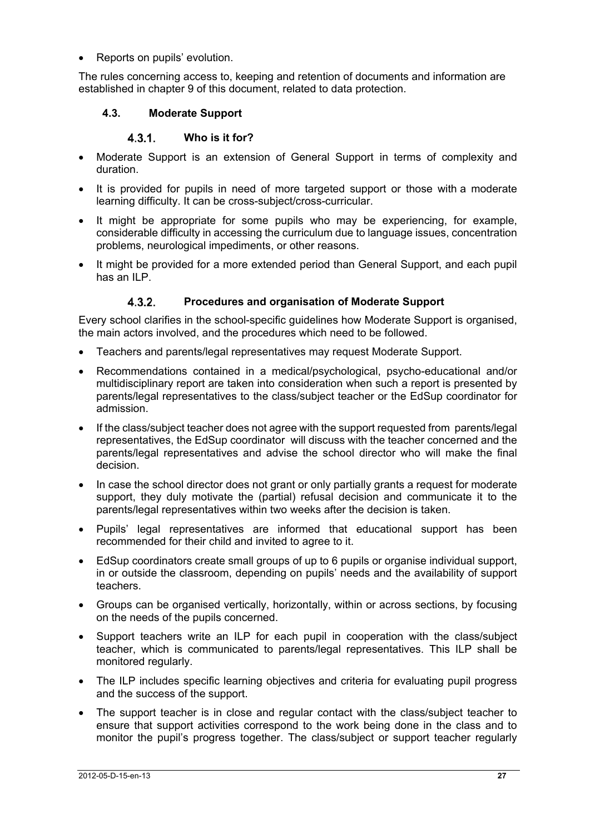Reports on pupils' evolution.

The rules concerning access to, keeping and retention of documents and information are established in chapter 9 of this document, related to data protection.

## **4.3. Moderate Support**

## **Who is it for?**

- Moderate Support is an extension of General Support in terms of complexity and duration.
- It is provided for pupils in need of more targeted support or those with a moderate learning difficulty. It can be cross-subject/cross-curricular.
- It might be appropriate for some pupils who may be experiencing, for example, considerable difficulty in accessing the curriculum due to language issues, concentration problems, neurological impediments, or other reasons.
- It might be provided for a more extended period than General Support, and each pupil has an ILP.

## **Procedures and organisation of Moderate Support**

Every school clarifies in the school-specific guidelines how Moderate Support is organised, the main actors involved, and the procedures which need to be followed.

- Teachers and parents/legal representatives may request Moderate Support.
- Recommendations contained in a medical/psychological, psycho-educational and/or multidisciplinary report are taken into consideration when such a report is presented by parents/legal representatives to the class/subject teacher or the EdSup coordinator for admission.
- If the class/subject teacher does not agree with the support requested from parents/legal representatives, the EdSup coordinator will discuss with the teacher concerned and the parents/legal representatives and advise the school director who will make the final decision.
- In case the school director does not grant or only partially grants a request for moderate support, they duly motivate the (partial) refusal decision and communicate it to the parents/legal representatives within two weeks after the decision is taken.
- Pupils' legal representatives are informed that educational support has been recommended for their child and invited to agree to it.
- EdSup coordinators create small groups of up to 6 pupils or organise individual support, in or outside the classroom, depending on pupils' needs and the availability of support teachers.
- Groups can be organised vertically, horizontally, within or across sections, by focusing on the needs of the pupils concerned.
- Support teachers write an ILP for each pupil in cooperation with the class/subject teacher, which is communicated to parents/legal representatives. This ILP shall be monitored regularly.
- The ILP includes specific learning objectives and criteria for evaluating pupil progress and the success of the support.
- The support teacher is in close and regular contact with the class/subject teacher to ensure that support activities correspond to the work being done in the class and to monitor the pupil's progress together. The class/subject or support teacher regularly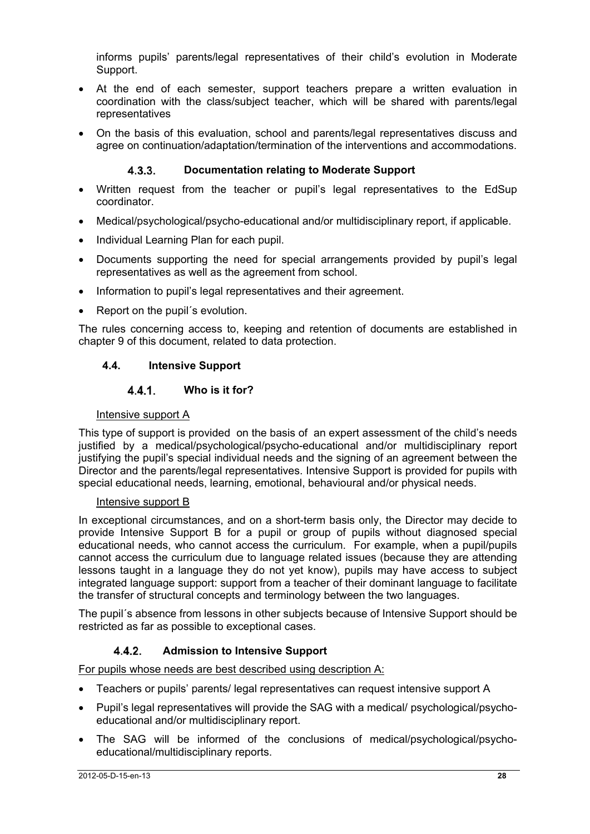informs pupils' parents/legal representatives of their child's evolution in Moderate Support.

- At the end of each semester, support teachers prepare a written evaluation in coordination with the class/subject teacher, which will be shared with parents/legal representatives
- On the basis of this evaluation, school and parents/legal representatives discuss and agree on continuation/adaptation/termination of the interventions and accommodations.

### **Documentation relating to Moderate Support**

- Written request from the teacher or pupil's legal representatives to the EdSup coordinator.
- Medical/psychological/psycho-educational and/or multidisciplinary report, if applicable.
- Individual Learning Plan for each pupil.
- Documents supporting the need for special arrangements provided by pupil's legal representatives as well as the agreement from school.
- Information to pupil's legal representatives and their agreement.
- Report on the pupil´s evolution.

The rules concerning access to, keeping and retention of documents are established in chapter 9 of this document, related to data protection.

### **4.4. Intensive Support**

### **Who is it for?**

#### Intensive support A

This type of support is provided on the basis of an expert assessment of the child's needs justified by a medical/psychological/psycho-educational and/or multidisciplinary report justifying the pupil's special individual needs and the signing of an agreement between the Director and the parents/legal representatives. Intensive Support is provided for pupils with special educational needs, learning, emotional, behavioural and/or physical needs.

### Intensive support B

In exceptional circumstances, and on a short-term basis only, the Director may decide to provide Intensive Support B for a pupil or group of pupils without diagnosed special educational needs, who cannot access the curriculum. For example, when a pupil/pupils cannot access the curriculum due to language related issues (because they are attending lessons taught in a language they do not yet know), pupils may have access to subject integrated language support: support from a teacher of their dominant language to facilitate the transfer of structural concepts and terminology between the two languages.

The pupil´s absence from lessons in other subjects because of Intensive Support should be restricted as far as possible to exceptional cases.

## **Admission to Intensive Support**

For pupils whose needs are best described using description A:

- Teachers or pupils' parents/ legal representatives can request intensive support A
- Pupil's legal representatives will provide the SAG with a medical/ psychological/psychoeducational and/or multidisciplinary report.
- The SAG will be informed of the conclusions of medical/psychological/psychoeducational/multidisciplinary reports.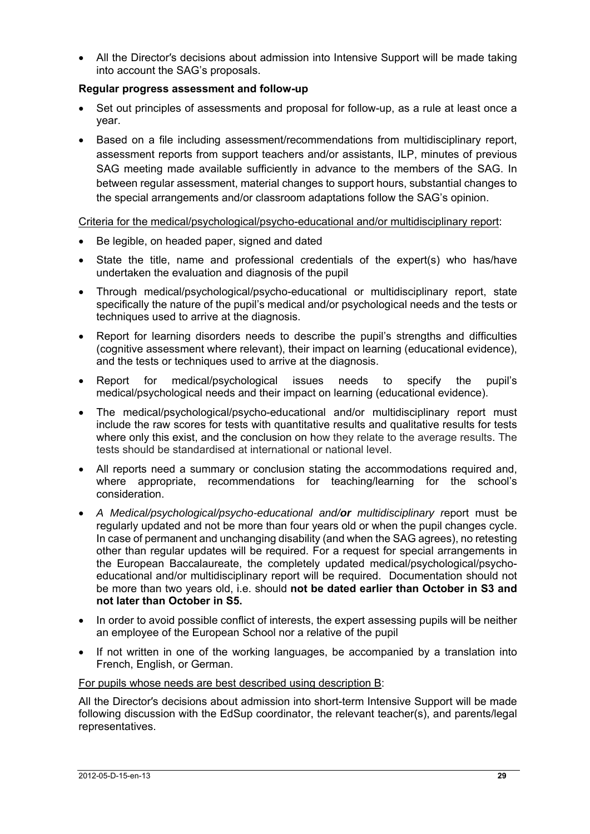■ All the Director's decisions about admission into Intensive Support will be made taking into account the SAG's proposals.

### **Regular progress assessment and follow-up**

- Set out principles of assessments and proposal for follow-up, as a rule at least once a year.
- Based on a file including assessment/recommendations from multidisciplinary report, assessment reports from support teachers and/or assistants, ILP, minutes of previous SAG meeting made available sufficiently in advance to the members of the SAG. In between regular assessment, material changes to support hours, substantial changes to the special arrangements and/or classroom adaptations follow the SAG's opinion.

Criteria for the medical/psychological/psycho-educational and/or multidisciplinary report:

- Be legible, on headed paper, signed and dated
- State the title, name and professional credentials of the expert(s) who has/have undertaken the evaluation and diagnosis of the pupil
- Through medical/psychological/psycho-educational or multidisciplinary report, state specifically the nature of the pupil's medical and/or psychological needs and the tests or techniques used to arrive at the diagnosis.
- Report for learning disorders needs to describe the pupil's strengths and difficulties (cognitive assessment where relevant), their impact on learning (educational evidence), and the tests or techniques used to arrive at the diagnosis.
- Report for medical/psychological issues needs to specify the pupil's medical/psychological needs and their impact on learning (educational evidence).
- The medical/psychological/psycho-educational and/or multidisciplinary report must include the raw scores for tests with quantitative results and qualitative results for tests where only this exist, and the conclusion on how they relate to the average results. The tests should be standardised at international or national level.
- All reports need a summary or conclusion stating the accommodations required and, where appropriate, recommendations for teaching/learning for the school's consideration.
- *A Medical/psychological/psycho-educational and/or multidisciplinary r*eport must be regularly updated and not be more than four years old or when the pupil changes cycle. In case of permanent and unchanging disability (and when the SAG agrees), no retesting other than regular updates will be required. For a request for special arrangements in the European Baccalaureate, the completely updated medical/psychological/psychoeducational and/or multidisciplinary report will be required. Documentation should not be more than two years old, i.e. should **not be dated earlier than October in S3 and not later than October in S5.**
- In order to avoid possible conflict of interests, the expert assessing pupils will be neither an employee of the European School nor a relative of the pupil
- If not written in one of the working languages, be accompanied by a translation into French, English, or German.

### For pupils whose needs are best described using description B:

All the Director′s decisions about admission into short-term Intensive Support will be made following discussion with the EdSup coordinator, the relevant teacher(s), and parents/legal representatives.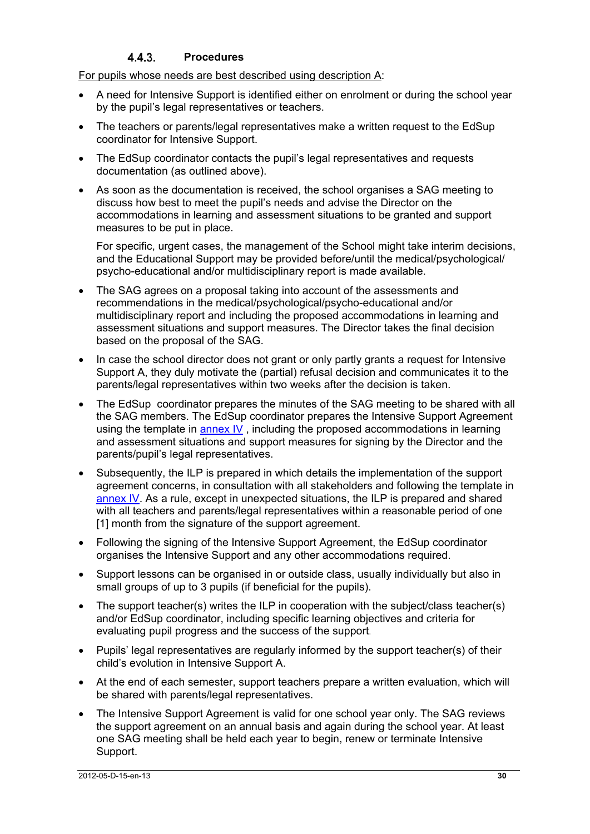### **Procedures**

For pupils whose needs are best described using description A:

- A need for Intensive Support is identified either on enrolment or during the school year by the pupil's legal representatives or teachers.
- The teachers or parents/legal representatives make a written request to the EdSup coordinator for Intensive Support.
- The EdSup coordinator contacts the pupil's legal representatives and requests documentation (as outlined above).
- As soon as the documentation is received, the school organises a SAG meeting to discuss how best to meet the pupil's needs and advise the Director on the accommodations in learning and assessment situations to be granted and support measures to be put in place.

For specific, urgent cases, the management of the School might take interim decisions, and the Educational Support may be provided before/until the medical/psychological/ psycho-educational and/or multidisciplinary report is made available.

- The SAG agrees on a proposal taking into account of the assessments and recommendations in the medical/psychological/psycho-educational and/or multidisciplinary report and including the proposed accommodations in learning and assessment situations and support measures. The Director takes the final decision based on the proposal of the SAG.
- In case the school director does not grant or only partly grants a request for Intensive Support A, they duly motivate the (partial) refusal decision and communicates it to the parents/legal representatives within two weeks after the decision is taken.
- The EdSup coordinator prepares the minutes of the SAG meeting to be shared with all the SAG members. The EdSup coordinator prepares the Intensive Support Agreement using the template in **annex IV**, including the proposed accommodations in learning and assessment situations and support measures for signing by the Director and the parents/pupil's legal representatives.
- Subsequently, the ILP is prepared in which details the implementation of the support agreement concerns, in consultation with all stakeholders and following the template in annex IV. As a rule, except in unexpected situations, the ILP is prepared and shared with all teachers and parents/legal representatives within a reasonable period of one [1] month from the signature of the support agreement.
- Following the signing of the Intensive Support Agreement, the EdSup coordinator organises the Intensive Support and any other accommodations required.
- Support lessons can be organised in or outside class, usually individually but also in small groups of up to 3 pupils (if beneficial for the pupils).
- The support teacher(s) writes the ILP in cooperation with the subject/class teacher(s) and/or EdSup coordinator, including specific learning objectives and criteria for evaluating pupil progress and the success of the support.
- Pupils' legal representatives are regularly informed by the support teacher(s) of their child's evolution in Intensive Support A.
- At the end of each semester, support teachers prepare a written evaluation, which will be shared with parents/legal representatives.
- The Intensive Support Agreement is valid for one school year only. The SAG reviews the support agreement on an annual basis and again during the school year. At least one SAG meeting shall be held each year to begin, renew or terminate Intensive Support.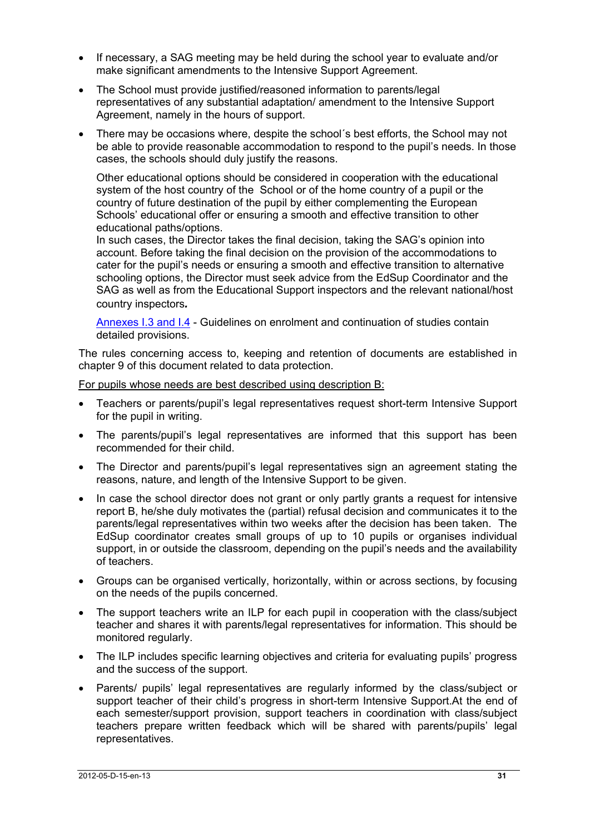- If necessary, a SAG meeting may be held during the school year to evaluate and/or make significant amendments to the Intensive Support Agreement.
- The School must provide justified/reasoned information to parents/legal representatives of any substantial adaptation/ amendment to the Intensive Support Agreement, namely in the hours of support.
- There may be occasions where, despite the school´s best efforts, the School may not be able to provide reasonable accommodation to respond to the pupil's needs. In those cases, the schools should duly justify the reasons.

Other educational options should be considered in cooperation with the educational system of the host country of the School or of the home country of a pupil or the country of future destination of the pupil by either complementing the European Schools' educational offer or ensuring a smooth and effective transition to other educational paths/options.

In such cases, the Director takes the final decision, taking the SAG's opinion into account. Before taking the final decision on the provision of the accommodations to cater for the pupil's needs or ensuring a smooth and effective transition to alternative schooling options, the Director must seek advice from the EdSup Coordinator and the SAG as well as from the Educational Support inspectors and the relevant national/host country inspectors*.*

Annexes I.3 and I.4 - Guidelines on enrolment and continuation of studies contain detailed provisions.

The rules concerning access to, keeping and retention of documents are established in chapter 9 of this document related to data protection.

For pupils whose needs are best described using description B:

- Teachers or parents/pupil's legal representatives request short-term Intensive Support for the pupil in writing.
- The parents/pupil's legal representatives are informed that this support has been recommended for their child.
- The Director and parents/pupil's legal representatives sign an agreement stating the reasons, nature, and length of the Intensive Support to be given.
- In case the school director does not grant or only partly grants a request for intensive report B, he/she duly motivates the (partial) refusal decision and communicates it to the parents/legal representatives within two weeks after the decision has been taken. The EdSup coordinator creates small groups of up to 10 pupils or organises individual support, in or outside the classroom, depending on the pupil's needs and the availability of teachers.
- Groups can be organised vertically, horizontally, within or across sections, by focusing on the needs of the pupils concerned.
- The support teachers write an ILP for each pupil in cooperation with the class/subject teacher and shares it with parents/legal representatives for information. This should be monitored regularly.
- The ILP includes specific learning objectives and criteria for evaluating pupils' progress and the success of the support.
- Parents/ pupils' legal representatives are regularly informed by the class/subject or support teacher of their child's progress in short-term Intensive Support.At the end of each semester/support provision, support teachers in coordination with class/subject teachers prepare written feedback which will be shared with parents/pupils' legal representatives.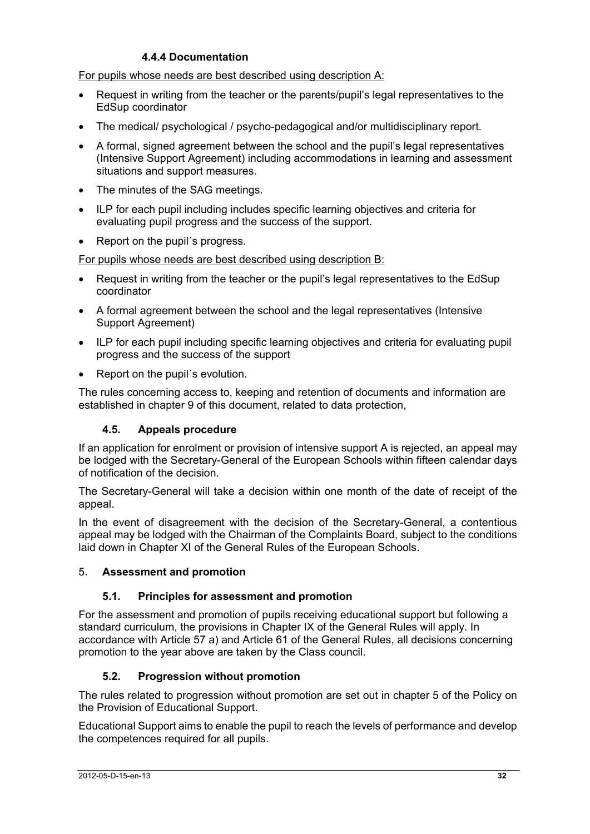## **4.4.4 Documentation**

For pupils whose needs are best described using description A:

- Request in writing from the teacher or the parents/pupil's legal representatives to the EdSup coordinator
- The medical/ psychological / psycho-pedagogical and/or multidisciplinary report.
- A formal, signed agreement between the school and the pupil's legal representatives (Intensive Support Agreement) including accommodations in learning and assessment situations and support measures.
- The minutes of the SAG meetings.
- ILP for each pupil including includes specific learning objectives and criteria for evaluating pupil progress and the success of the support.
- Report on the pupil´s progress.

For pupils whose needs are best described using description B:

- Request in writing from the teacher or the pupil's legal representatives to the EdSup coordinator
- A formal agreement between the school and the legal representatives (Intensive Support Agreement)
- ILP for each pupil including specific learning objectives and criteria for evaluating pupil progress and the success of the support
- Report on the pupil's evolution.

The rules concerning access to, keeping and retention of documents and information are established in chapter 9 of this document, related to data protection,

## **4.5. Appeals procedure**

If an application for enrolment or provision of intensive support A is rejected, an appeal may be lodged with the Secretary-General of the European Schools within fifteen calendar days of notification of the decision.

The Secretary-General will take a decision within one month of the date of receipt of the appeal.

In the event of disagreement with the decision of the Secretary-General, a contentious appeal may be lodged with the Chairman of the Complaints Board, subject to the conditions laid down in Chapter XI of the General Rules of the European Schools.

## 5. **Assessment and promotion**

## **5.1. Principles for assessment and promotion**

For the assessment and promotion of pupils receiving educational support but following a standard curriculum, the provisions in Chapter IX of the General Rules will apply. In accordance with Article 57 a) and Article 61 of the General Rules, all decisions concerning promotion to the year above are taken by the Class council.

## **5.2. Progression without promotion**

The rules related to progression without promotion are set out in chapter 5 of the Policy on the Provision of Educational Support.

Educational Support aims to enable the pupil to reach the levels of performance and develop the competences required for all pupils.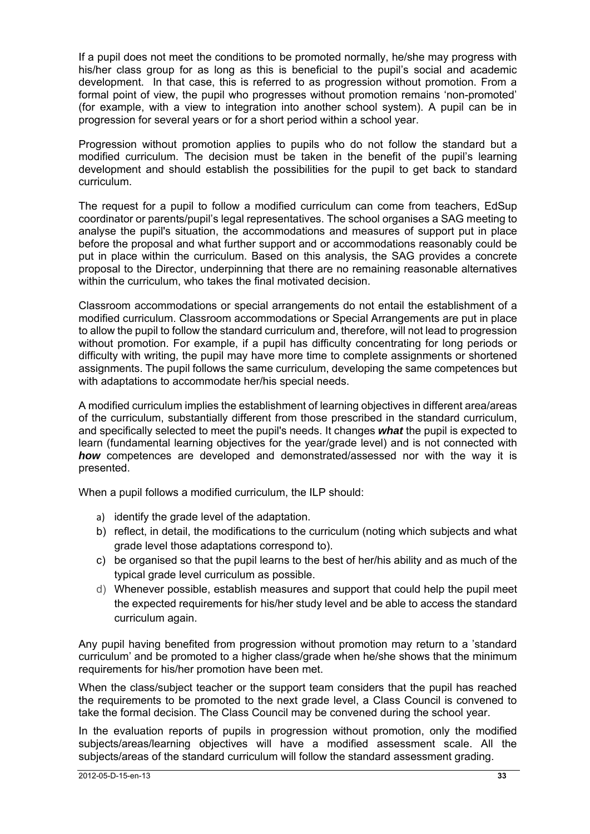If a pupil does not meet the conditions to be promoted normally, he/she may progress with his/her class group for as long as this is beneficial to the pupil's social and academic development. In that case, this is referred to as progression without promotion. From a formal point of view, the pupil who progresses without promotion remains 'non-promoted' (for example, with a view to integration into another school system). A pupil can be in progression for several years or for a short period within a school year.

Progression without promotion applies to pupils who do not follow the standard but a modified curriculum. The decision must be taken in the benefit of the pupil's learning development and should establish the possibilities for the pupil to get back to standard curriculum.

The request for a pupil to follow a modified curriculum can come from teachers, EdSup coordinator or parents/pupil's legal representatives. The school organises a SAG meeting to analyse the pupil's situation, the accommodations and measures of support put in place before the proposal and what further support and or accommodations reasonably could be put in place within the curriculum. Based on this analysis, the SAG provides a concrete proposal to the Director, underpinning that there are no remaining reasonable alternatives within the curriculum, who takes the final motivated decision.

Classroom accommodations or special arrangements do not entail the establishment of a modified curriculum. Classroom accommodations or Special Arrangements are put in place to allow the pupil to follow the standard curriculum and, therefore, will not lead to progression without promotion. For example, if a pupil has difficulty concentrating for long periods or difficulty with writing, the pupil may have more time to complete assignments or shortened assignments. The pupil follows the same curriculum, developing the same competences but with adaptations to accommodate her/his special needs.

A modified curriculum implies the establishment of learning objectives in different area/areas of the curriculum, substantially different from those prescribed in the standard curriculum, and specifically selected to meet the pupil's needs. It changes *what* the pupil is expected to learn (fundamental learning objectives for the year/grade level) and is not connected with *how* competences are developed and demonstrated/assessed nor with the way it is presented.

When a pupil follows a modified curriculum, the ILP should:

- a) identify the grade level of the adaptation.
- b) reflect, in detail, the modifications to the curriculum (noting which subjects and what grade level those adaptations correspond to).
- c) be organised so that the pupil learns to the best of her/his ability and as much of the typical grade level curriculum as possible.
- d) Whenever possible, establish measures and support that could help the pupil meet the expected requirements for his/her study level and be able to access the standard curriculum again.

Any pupil having benefited from progression without promotion may return to a 'standard curriculum' and be promoted to a higher class/grade when he/she shows that the minimum requirements for his/her promotion have been met.

When the class/subject teacher or the support team considers that the pupil has reached the requirements to be promoted to the next grade level, a Class Council is convened to take the formal decision. The Class Council may be convened during the school year.

In the evaluation reports of pupils in progression without promotion, only the modified subjects/areas/learning objectives will have a modified assessment scale. All the subjects/areas of the standard curriculum will follow the standard assessment grading.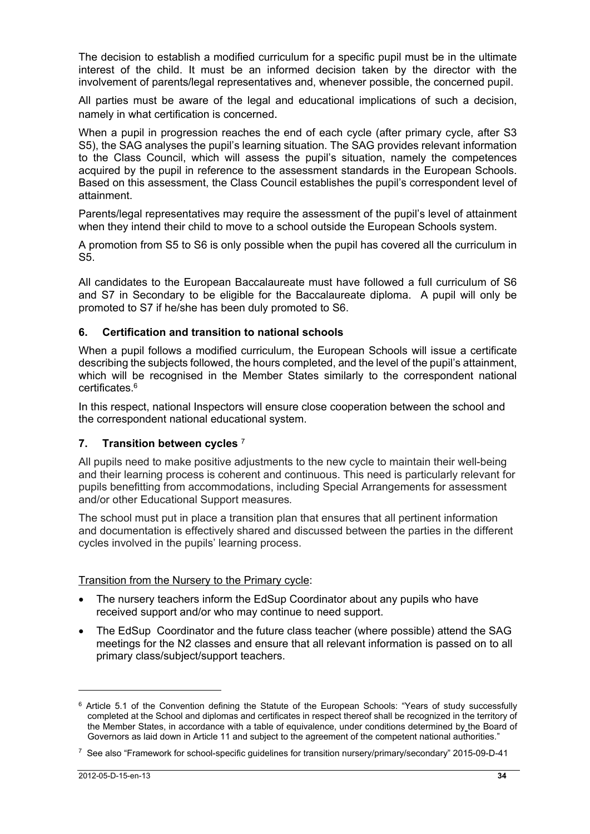The decision to establish a modified curriculum for a specific pupil must be in the ultimate interest of the child. It must be an informed decision taken by the director with the involvement of parents/legal representatives and, whenever possible, the concerned pupil.

All parties must be aware of the legal and educational implications of such a decision, namely in what certification is concerned.

When a pupil in progression reaches the end of each cycle (after primary cycle, after S3 S5), the SAG analyses the pupil's learning situation. The SAG provides relevant information to the Class Council, which will assess the pupil's situation, namely the competences acquired by the pupil in reference to the assessment standards in the European Schools. Based on this assessment, the Class Council establishes the pupil's correspondent level of attainment.

Parents/legal representatives may require the assessment of the pupil's level of attainment when they intend their child to move to a school outside the European Schools system.

A promotion from S5 to S6 is only possible when the pupil has covered all the curriculum in S5.

All candidates to the European Baccalaureate must have followed a full curriculum of S6 and S7 in Secondary to be eligible for the Baccalaureate diploma. A pupil will only be promoted to S7 if he/she has been duly promoted to S6.

#### **6. Certification and transition to national schools**

When a pupil follows a modified curriculum, the European Schools will issue a certificate describing the subjects followed, the hours completed, and the level of the pupil's attainment, which will be recognised in the Member States similarly to the correspondent national certificates.6

In this respect, national Inspectors will ensure close cooperation between the school and the correspondent national educational system.

### **7. Transition between cycles** <sup>7</sup>

All pupils need to make positive adjustments to the new cycle to maintain their well-being and their learning process is coherent and continuous. This need is particularly relevant for pupils benefitting from accommodations, including Special Arrangements for assessment and/or other Educational Support measures*.* 

The school must put in place a transition plan that ensures that all pertinent information and documentation is effectively shared and discussed between the parties in the different cycles involved in the pupils' learning process.

Transition from the Nursery to the Primary cycle:

- The nursery teachers inform the EdSup Coordinator about any pupils who have received support and/or who may continue to need support.
- The EdSup Coordinator and the future class teacher (where possible) attend the SAG meetings for the N2 classes and ensure that all relevant information is passed on to all primary class/subject/support teachers.

<sup>&</sup>lt;sup>6</sup> Article 5.1 of the Convention defining the Statute of the European Schools: "Years of study successfully completed at the School and diplomas and certificates in respect thereof shall be recognized in the territory of the Member States, in accordance with a table of equivalence, under conditions determined by the Board of Governors as laid down in Article 11 and subject to the agreement of the competent national authorities."

<sup>7</sup> See also "Framework for school-specific guidelines for transition nursery/primary/secondary" 2015-09-D-41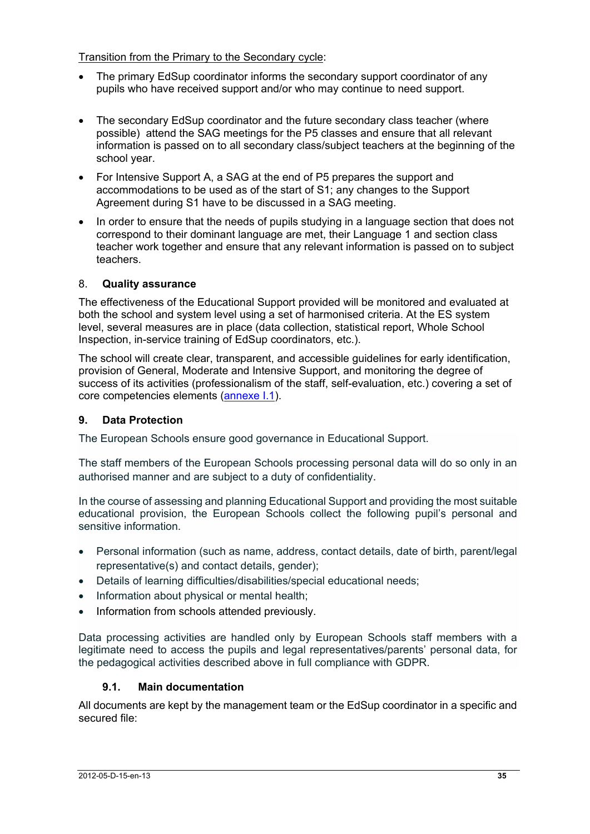Transition from the Primary to the Secondary cycle:

- The primary EdSup coordinator informs the secondary support coordinator of any pupils who have received support and/or who may continue to need support.
- The secondary EdSup coordinator and the future secondary class teacher (where possible) attend the SAG meetings for the P5 classes and ensure that all relevant information is passed on to all secondary class/subject teachers at the beginning of the school year.
- For Intensive Support A, a SAG at the end of P5 prepares the support and accommodations to be used as of the start of S1; any changes to the Support Agreement during S1 have to be discussed in a SAG meeting.
- In order to ensure that the needs of pupils studying in a language section that does not correspond to their dominant language are met, their Language 1 and section class teacher work together and ensure that any relevant information is passed on to subject teachers.

## 8. **Quality assurance**

The effectiveness of the Educational Support provided will be monitored and evaluated at both the school and system level using a set of harmonised criteria. At the ES system level, several measures are in place (data collection, statistical report, Whole School Inspection, in-service training of EdSup coordinators, etc.).

The school will create clear, transparent, and accessible guidelines for early identification, provision of General, Moderate and Intensive Support, and monitoring the degree of success of its activities (professionalism of the staff, self-evaluation, etc.) covering a set of core competencies elements (annexe I.1).

## **9. Data Protection**

The European Schools ensure good governance in Educational Support.

The staff members of the European Schools processing personal data will do so only in an authorised manner and are subject to a duty of confidentiality.

In the course of assessing and planning Educational Support and providing the most suitable educational provision, the European Schools collect the following pupil's personal and sensitive information.

- Personal information (such as name, address, contact details, date of birth, parent/legal representative(s) and contact details, gender);
- Details of learning difficulties/disabilities/special educational needs;
- Information about physical or mental health;
- Information from schools attended previously.

Data processing activities are handled only by European Schools staff members with a legitimate need to access the pupils and legal representatives/parents' personal data, for the pedagogical activities described above in full compliance with GDPR.

## **9.1. Main documentation**

All documents are kept by the management team or the EdSup coordinator in a specific and secured file: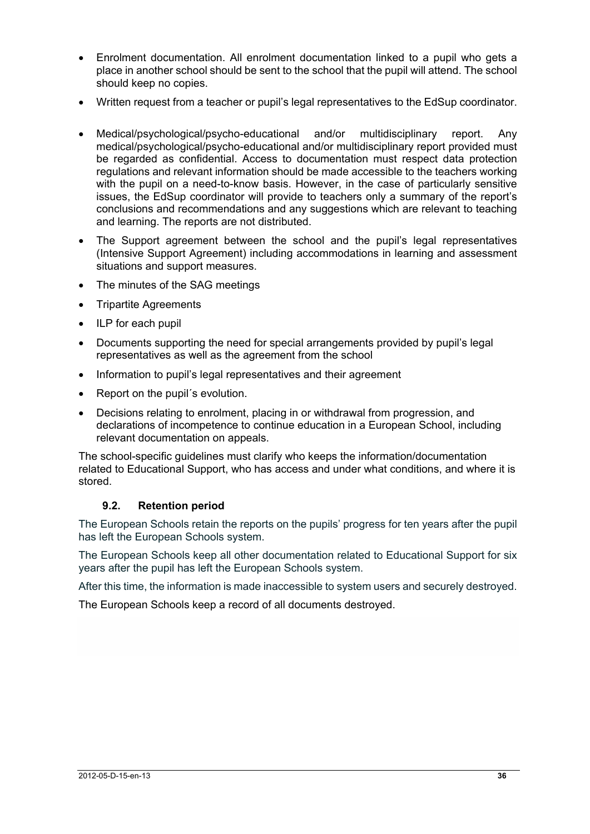- Enrolment documentation. All enrolment documentation linked to a pupil who gets a place in another school should be sent to the school that the pupil will attend. The school should keep no copies.
- Written request from a teacher or pupil's legal representatives to the EdSup coordinator.
- Medical/psychological/psycho-educational and/or multidisciplinary report. Any medical/psychological/psycho-educational and/or multidisciplinary report provided must be regarded as confidential. Access to documentation must respect data protection regulations and relevant information should be made accessible to the teachers working with the pupil on a need-to-know basis. However, in the case of particularly sensitive issues, the EdSup coordinator will provide to teachers only a summary of the report's conclusions and recommendations and any suggestions which are relevant to teaching and learning. The reports are not distributed.
- The Support agreement between the school and the pupil's legal representatives (Intensive Support Agreement) including accommodations in learning and assessment situations and support measures.
- The minutes of the SAG meetings
- Tripartite Agreements
- ILP for each pupil
- Documents supporting the need for special arrangements provided by pupil's legal representatives as well as the agreement from the school
- Information to pupil's legal representatives and their agreement
- Report on the pupil´s evolution.
- Decisions relating to enrolment, placing in or withdrawal from progression, and declarations of incompetence to continue education in a European School, including relevant documentation on appeals.

The school-specific guidelines must clarify who keeps the information/documentation related to Educational Support, who has access and under what conditions, and where it is stored.

### **9.2. Retention period**

The European Schools retain the reports on the pupils' progress for ten years after the pupil has left the European Schools system.

The European Schools keep all other documentation related to Educational Support for six years after the pupil has left the European Schools system.

After this time, the information is made inaccessible to system users and securely destroyed.

The European Schools keep a record of all documents destroyed.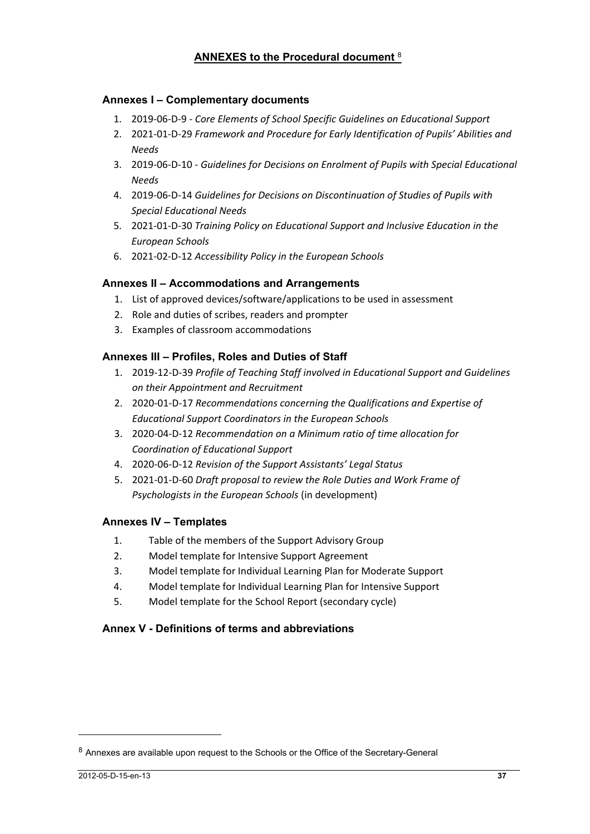### **ANNEXES to the Procedural document** <sup>8</sup>

### **Annexes I – Complementary documents**

- 1. 2019‐06‐D‐9 ‐ *Core Elements of School Specific Guidelines on Educational Support*
- 2. 2021‐01‐D‐29 *Framework and Procedure for Early Identification of Pupils' Abilities and Needs*
- 3. 2019‐06‐D‐10 ‐ *Guidelines for Decisions on Enrolment of Pupils with Special Educational Needs*
- 4. 2019‐06‐D‐14 *Guidelines for Decisions on Discontinuation of Studies of Pupils with Special Educational Needs*
- 5. 2021‐01‐D‐30 *Training Policy on Educational Support and Inclusive Education in the European Schools*
- 6. 2021‐02‐D‐12 *Accessibility Policy in the European Schools*

### **Annexes II – Accommodations and Arrangements**

- 1. List of approved devices/software/applications to be used in assessment
- 2. Role and duties of scribes, readers and prompter
- 3. Examples of classroom accommodations

### **Annexes III – Profiles, Roles and Duties of Staff**

- 1. 2019‐12‐D‐39 *Profile of Teaching Staff involved in Educational Support and Guidelines on their Appointment and Recruitment*
- 2. 2020‐01‐D‐17 *Recommendations concerning the Qualifications and Expertise of Educational Support Coordinators in the European Schools*
- 3. 2020‐04‐D‐12 *Recommendation on a Minimum ratio of time allocation for Coordination of Educational Support*
- 4. 2020‐06‐D‐12 *Revision of the Support Assistants' Legal Status*
- 5. 2021‐01‐D‐60 *Draft proposal to review the Role Duties and Work Frame of Psychologists in the European Schools* (in development)

### **Annexes IV – Templates**

- 1. Table of the members of the Support Advisory Group
- 2. Model template for Intensive Support Agreement
- 3. Model template for Individual Learning Plan for Moderate Support
- 4. Model template for Individual Learning Plan for Intensive Support
- 5. Model template for the School Report (secondary cycle)

### **Annex V - Definitions of terms and abbreviations**

 $\overline{a}$ 

<sup>8</sup> Annexes are available upon request to the Schools or the Office of the Secretary-General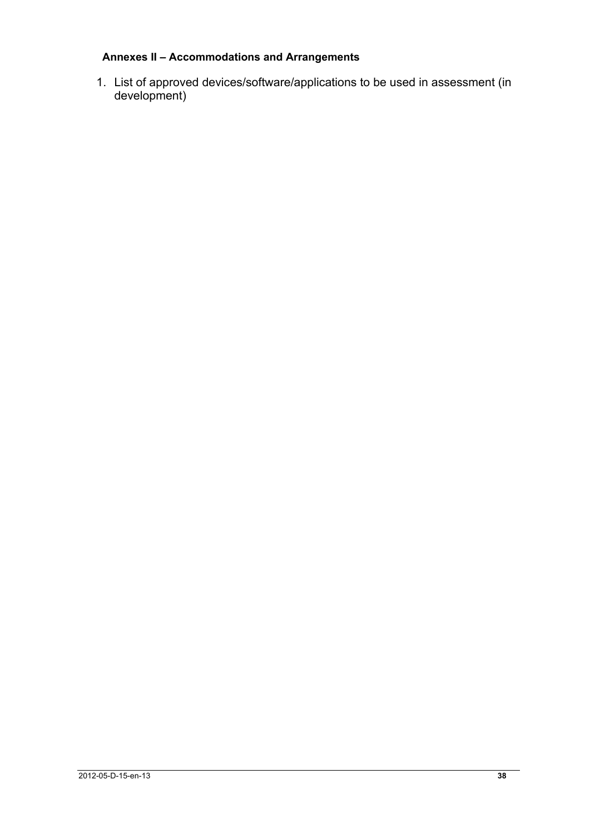## **Annexes II – Accommodations and Arrangements**

1. List of approved devices/software/applications to be used in assessment (in development)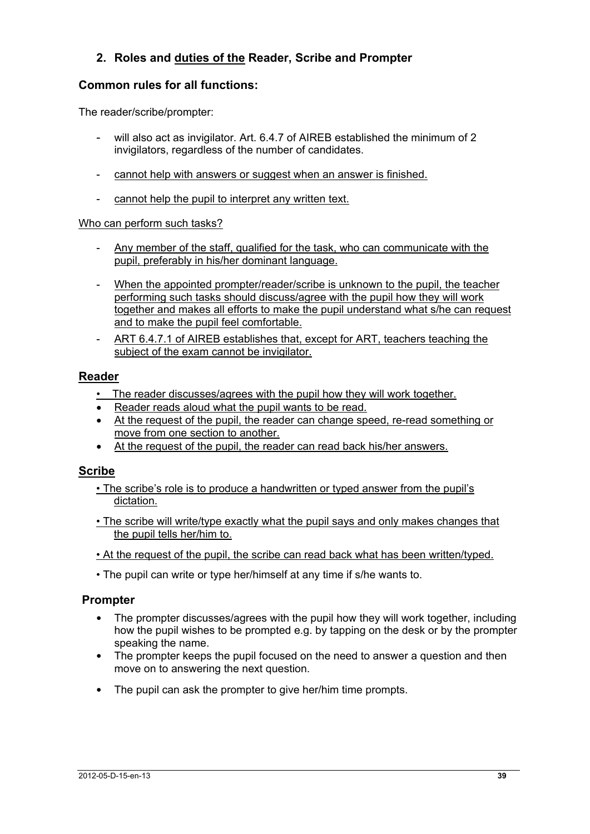## **2. Roles and duties of the Reader, Scribe and Prompter**

## **Common rules for all functions:**

The reader/scribe/prompter:

- will also act as invigilator. Art. 6.4.7 of AIREB established the minimum of 2 invigilators, regardless of the number of candidates.
- cannot help with answers or suggest when an answer is finished.
- cannot help the pupil to interpret any written text.

### Who can perform such tasks?

- Any member of the staff, qualified for the task, who can communicate with the pupil, preferably in his/her dominant language.
- When the appointed prompter/reader/scribe is unknown to the pupil, the teacher performing such tasks should discuss/agree with the pupil how they will work together and makes all efforts to make the pupil understand what s/he can request and to make the pupil feel comfortable.
- ART 6.4.7.1 of AIREB establishes that, except for ART, teachers teaching the subject of the exam cannot be invigilator.

## **Reader**

- The reader discusses/agrees with the pupil how they will work together.
- Reader reads aloud what the pupil wants to be read.
- At the request of the pupil, the reader can change speed, re-read something or move from one section to another.
- At the request of the pupil, the reader can read back his/her answers.

## **Scribe**

- The scribe's role is to produce a handwritten or typed answer from the pupil's dictation.
- The scribe will write/type exactly what the pupil says and only makes changes that the pupil tells her/him to.
- At the request of the pupil, the scribe can read back what has been written/typed.
- The pupil can write or type her/himself at any time if s/he wants to.

## **Prompter**

- The prompter discusses/agrees with the pupil how they will work together, including how the pupil wishes to be prompted e.g. by tapping on the desk or by the prompter speaking the name.
- The prompter keeps the pupil focused on the need to answer a question and then move on to answering the next question.
- The pupil can ask the prompter to give her/him time prompts.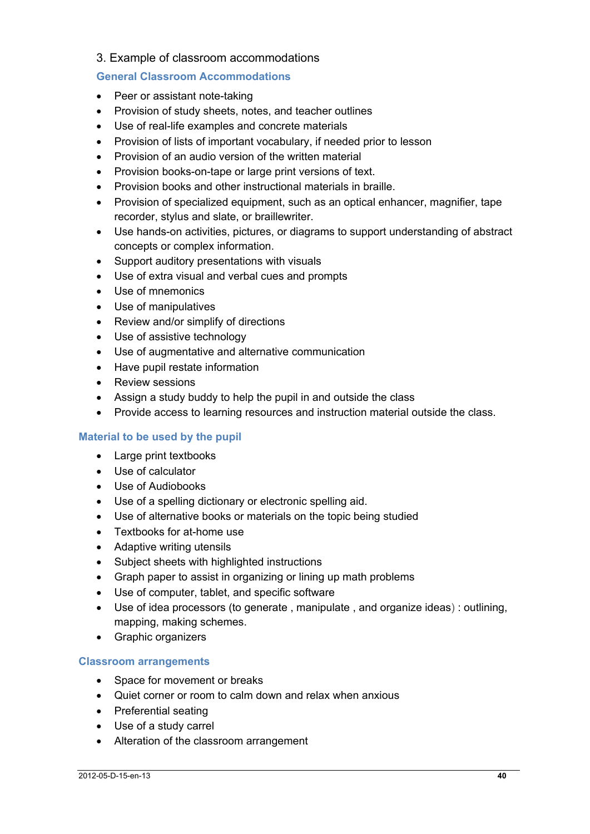## 3. Example of classroom accommodations

### **General Classroom Accommodations**

- Peer or assistant note-taking
- Provision of study sheets, notes, and teacher outlines
- Use of real-life examples and concrete materials
- Provision of lists of important vocabulary, if needed prior to lesson
- Provision of an audio version of the written material
- Provision books-on-tape or large print versions of text.
- Provision books and other instructional materials in braille.
- Provision of specialized equipment, such as an optical enhancer, magnifier, tape recorder, stylus and slate, or braillewriter.
- Use hands-on activities, pictures, or diagrams to support understanding of abstract concepts or complex information.
- Support auditory presentations with visuals
- Use of extra visual and verbal cues and prompts
- Use of mnemonics
- Use of manipulatives
- Review and/or simplify of directions
- Use of assistive technology
- Use of augmentative and alternative communication
- Have pupil restate information
- Review sessions
- Assign a study buddy to help the pupil in and outside the class
- Provide access to learning resources and instruction material outside the class.

### **Material to be used by the pupil**

- Large print textbooks
- Use of calculator
- Use of Audiobooks
- Use of a spelling dictionary or electronic spelling aid.
- Use of alternative books or materials on the topic being studied
- Textbooks for at-home use
- Adaptive writing utensils
- Subject sheets with highlighted instructions
- Graph paper to assist in organizing or lining up math problems
- Use of computer, tablet, and specific software
- Use of idea processors (to generate , manipulate , and organize ideas) : outlining, mapping, making schemes.
- Graphic organizers

### **Classroom arrangements**

- Space for movement or breaks
- Quiet corner or room to calm down and relax when anxious
- Preferential seating
- Use of a study carrel
- Alteration of the classroom arrangement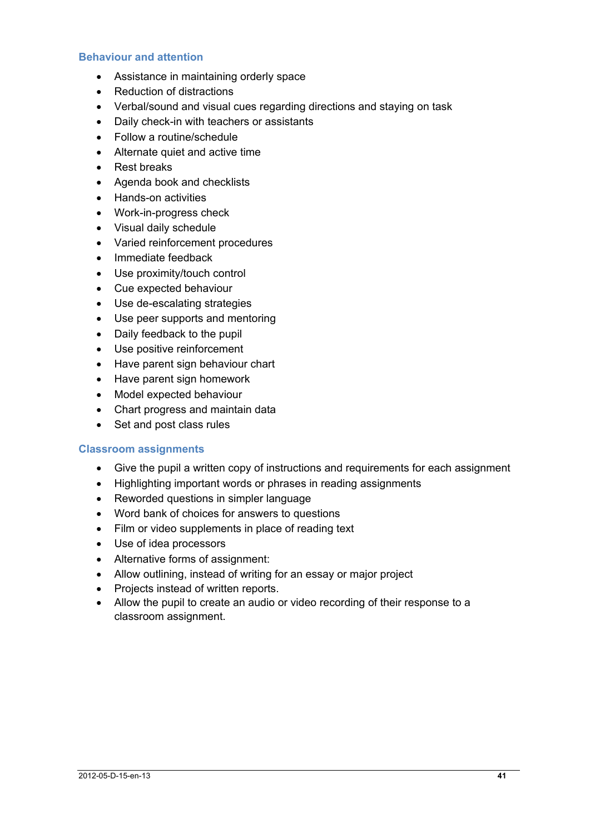#### **Behaviour and attention**

- Assistance in maintaining orderly space
- Reduction of distractions
- Verbal/sound and visual cues regarding directions and staying on task
- Daily check-in with teachers or assistants
- Follow a routine/schedule
- Alternate quiet and active time
- Rest breaks
- Agenda book and checklists
- Hands-on activities
- Work-in-progress check
- Visual daily schedule
- Varied reinforcement procedures
- Immediate feedback
- Use proximity/touch control
- Cue expected behaviour
- Use de-escalating strategies
- Use peer supports and mentoring
- Daily feedback to the pupil
- Use positive reinforcement
- Have parent sign behaviour chart
- Have parent sign homework
- Model expected behaviour
- Chart progress and maintain data
- Set and post class rules

### **Classroom assignments**

- Give the pupil a written copy of instructions and requirements for each assignment
- Highlighting important words or phrases in reading assignments
- Reworded questions in simpler language
- Word bank of choices for answers to questions
- Film or video supplements in place of reading text
- Use of idea processors
- Alternative forms of assignment:
- Allow outlining, instead of writing for an essay or major project
- Projects instead of written reports.
- Allow the pupil to create an audio or video recording of their response to a classroom assignment.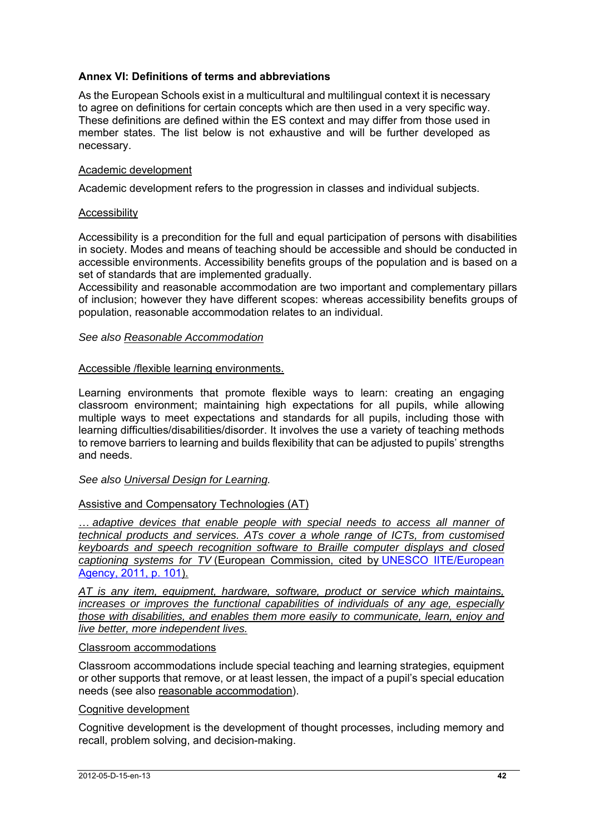### **Annex VI: Definitions of terms and abbreviations**

As the European Schools exist in a multicultural and multilingual context it is necessary to agree on definitions for certain concepts which are then used in a very specific way. These definitions are defined within the ES context and may differ from those used in member states. The list below is not exhaustive and will be further developed as necessary.

### Academic development

Academic development refers to the progression in classes and individual subjects.

#### **Accessibility**

Accessibility is a precondition for the full and equal participation of persons with disabilities in society. Modes and means of teaching should be accessible and should be conducted in accessible environments. Accessibility benefits groups of the population and is based on a set of standards that are implemented gradually.

Accessibility and reasonable accommodation are two important and complementary pillars of inclusion; however they have different scopes: whereas accessibility benefits groups of population, reasonable accommodation relates to an individual.

#### *See also Reasonable Accommodation*

#### Accessible /flexible learning environments.

Learning environments that promote flexible ways to learn: creating an engaging classroom environment; maintaining high expectations for all pupils, while allowing multiple ways to meet expectations and standards for all pupils, including those with learning difficulties/disabilities/disorder. It involves the use a variety of teaching methods to remove barriers to learning and builds flexibility that can be adjusted to pupils' strengths and needs.

#### *See also Universal Design for Learning.*

### Assistive and Compensatory Technologies (AT)

… *adaptive devices that enable people with special needs to access all manner of technical products and services. ATs cover a whole range of ICTs, from customised keyboards and speech recognition software to Braille computer displays and closed captioning systems for TV* (European Commission, cited by UNESCO IITE/European Agency, 2011, p. 101).

*AT is any item, equipment, hardware, software, product or service which maintains, increases or improves the functional capabilities of individuals of any age, especially those with disabilities, and enables them more easily to communicate, learn, enjoy and live better, more independent lives.* 

#### Classroom accommodations

Classroom accommodations include special teaching and learning strategies, equipment or other supports that remove, or at least lessen, the impact of a pupil's special education needs (see also reasonable accommodation).

### Cognitive development

Cognitive development is the development of thought processes, including memory and recall, problem solving, and decision-making.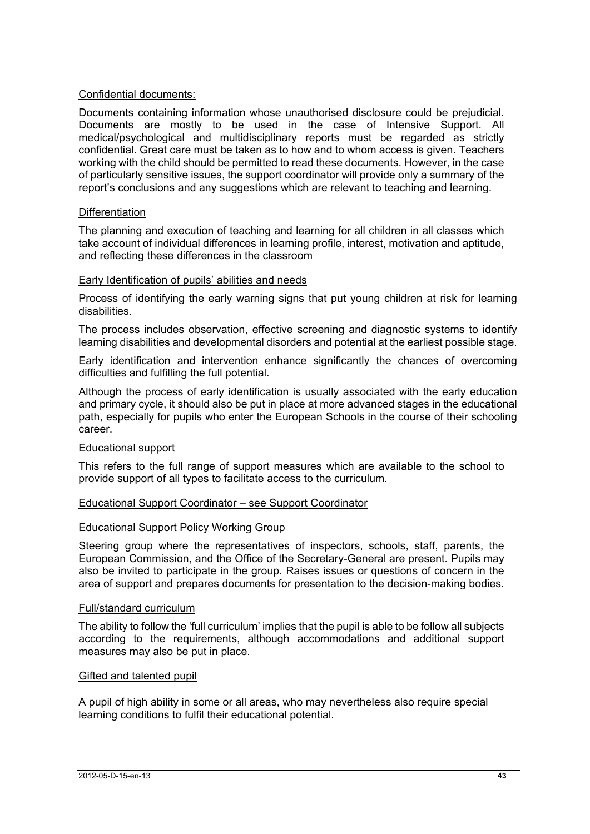#### Confidential documents:

Documents containing information whose unauthorised disclosure could be prejudicial. Documents are mostly to be used in the case of Intensive Support. All medical/psychological and multidisciplinary reports must be regarded as strictly confidential. Great care must be taken as to how and to whom access is given. Teachers working with the child should be permitted to read these documents. However, in the case of particularly sensitive issues, the support coordinator will provide only a summary of the report's conclusions and any suggestions which are relevant to teaching and learning.

#### **Differentiation**

The planning and execution of teaching and learning for all children in all classes which take account of individual differences in learning profile, interest, motivation and aptitude, and reflecting these differences in the classroom

#### Early Identification of pupils' abilities and needs

Process of identifying the early warning signs that put young children at risk for learning disabilities.

The process includes observation, effective screening and diagnostic systems to identify learning disabilities and developmental disorders and potential at the earliest possible stage.

Early identification and intervention enhance significantly the chances of overcoming difficulties and fulfilling the full potential.

Although the process of early identification is usually associated with the early education and primary cycle, it should also be put in place at more advanced stages in the educational path, especially for pupils who enter the European Schools in the course of their schooling career.

### Educational support

This refers to the full range of support measures which are available to the school to provide support of all types to facilitate access to the curriculum.

#### Educational Support Coordinator – see Support Coordinator

#### Educational Support Policy Working Group

Steering group where the representatives of inspectors, schools, staff, parents, the European Commission, and the Office of the Secretary-General are present. Pupils may also be invited to participate in the group. Raises issues or questions of concern in the area of support and prepares documents for presentation to the decision-making bodies.

#### Full/standard curriculum

The ability to follow the 'full curriculum' implies that the pupil is able to be follow all subjects according to the requirements, although accommodations and additional support measures may also be put in place.

#### Gifted and talented pupil

A pupil of high ability in some or all areas, who may nevertheless also require special learning conditions to fulfil their educational potential.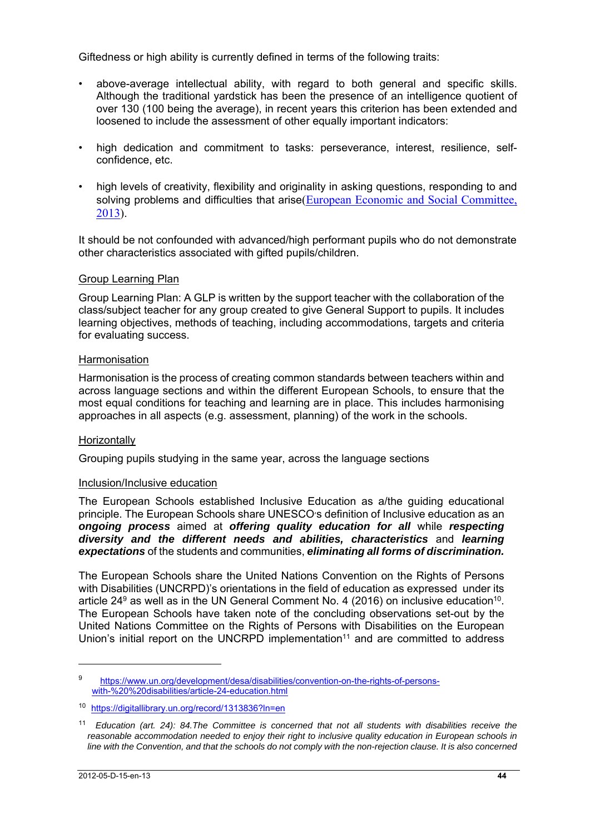Giftedness or high ability is currently defined in terms of the following traits:

- above-average intellectual ability, with regard to both general and specific skills. Although the traditional yardstick has been the presence of an intelligence quotient of over 130 (100 being the average), in recent years this criterion has been extended and loosened to include the assessment of other equally important indicators:
- high dedication and commitment to tasks: perseverance, interest, resilience, selfconfidence, etc.
- high levels of creativity, flexibility and originality in asking questions, responding to and solving problems and difficulties that arise(European Economic and Social Committee, 2013).

It should be not confounded with advanced/high performant pupils who do not demonstrate other characteristics associated with gifted pupils/children.

### Group Learning Plan

Group Learning Plan: A GLP is written by the support teacher with the collaboration of the class/subject teacher for any group created to give General Support to pupils. It includes learning objectives, methods of teaching, including accommodations, targets and criteria for evaluating success.

#### **Harmonisation**

Harmonisation is the process of creating common standards between teachers within and across language sections and within the different European Schools, to ensure that the most equal conditions for teaching and learning are in place. This includes harmonising approaches in all aspects (e.g. assessment, planning) of the work in the schools.

### **Horizontally**

Grouping pupils studying in the same year, across the language sections

#### Inclusion/Inclusive education

The European Schools established Inclusive Education as a/the guiding educational principle. The European Schools share UNESCO's definition of Inclusive education as an *ongoing process* aimed at *offering quality education for all* while *respecting diversity and the different needs and abilities, characteristics* and *learning expectations* of the students and communities, *eliminating all forms of discrimination.* 

The European Schools share the United Nations Convention on the Rights of Persons with Disabilities (UNCRPD)'s orientations in the field of education as expressed under its article 24 $9$  as well as in the UN General Comment No. 4 (2016) on inclusive education<sup>10</sup>. The European Schools have taken note of the concluding observations set-out by the United Nations Committee on the Rights of Persons with Disabilities on the European Union's initial report on the UNCRPD implementation<sup>11</sup> and are committed to address

<sup>9</sup> https://www.un.org/development/desa/disabilities/convention-on-the-rights-of-personswith-%20%20disabilities/article-24-education.html

<sup>10</sup> https://digitallibrary.un.org/record/1313836?ln=en

<sup>11</sup> *Education (art. 24): 84.The Committee is concerned that not all students with disabilities receive the reasonable accommodation needed to enjoy their right to inclusive quality education in European schools in line with the Convention, and that the schools do not comply with the non-rejection clause. It is also concerned*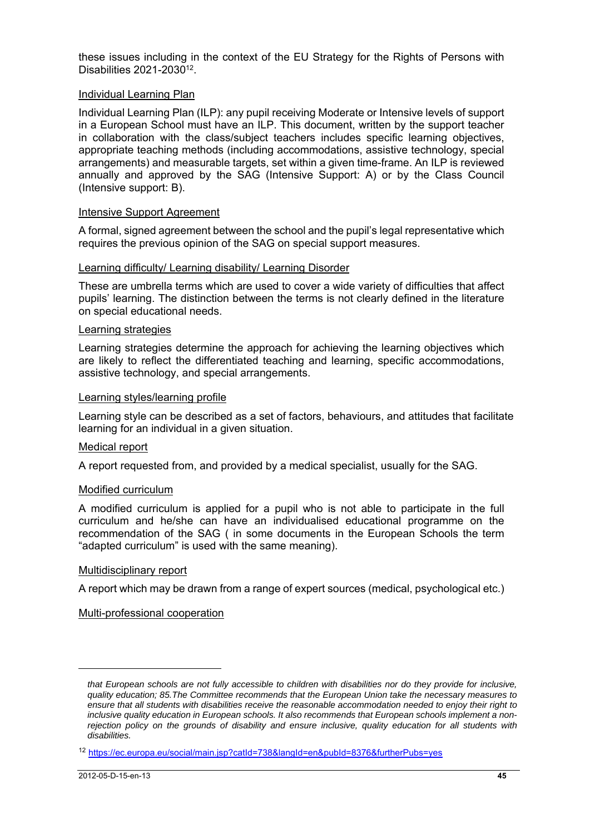these issues including in the context of the EU Strategy for the Rights of Persons with Disabilities 2021-203012.

#### Individual Learning Plan

Individual Learning Plan (ILP): any pupil receiving Moderate or Intensive levels of support in a European School must have an ILP. This document, written by the support teacher in collaboration with the class/subject teachers includes specific learning objectives, appropriate teaching methods (including accommodations, assistive technology, special arrangements) and measurable targets, set within a given time-frame. An ILP is reviewed annually and approved by the SAG (Intensive Support: A) or by the Class Council (Intensive support: B).

#### Intensive Support Agreement

A formal, signed agreement between the school and the pupil's legal representative which requires the previous opinion of the SAG on special support measures.

#### Learning difficulty/ Learning disability/ Learning Disorder

These are umbrella terms which are used to cover a wide variety of difficulties that affect pupils' learning. The distinction between the terms is not clearly defined in the literature on special educational needs.

#### Learning strategies

Learning strategies determine the approach for achieving the learning objectives which are likely to reflect the differentiated teaching and learning, specific accommodations, assistive technology, and special arrangements.

#### Learning styles/learning profile

Learning style can be described as a set of factors, behaviours, and attitudes that facilitate learning for an individual in a given situation.

#### Medical report

A report requested from, and provided by a medical specialist, usually for the SAG.

### Modified curriculum

A modified curriculum is applied for a pupil who is not able to participate in the full curriculum and he/she can have an individualised educational programme on the recommendation of the SAG ( in some documents in the European Schools the term "adapted curriculum" is used with the same meaning).

#### Multidisciplinary report

A report which may be drawn from a range of expert sources (medical, psychological etc.)

#### Multi-professional cooperation

*that European schools are not fully accessible to children with disabilities nor do they provide for inclusive, quality education; 85.The Committee recommends that the European Union take the necessary measures to ensure that all students with disabilities receive the reasonable accommodation needed to enjoy their right to inclusive quality education in European schools. It also recommends that European schools implement a nonrejection policy on the grounds of disability and ensure inclusive, quality education for all students with disabilities.*

<sup>12</sup> https://ec.europa.eu/social/main.jsp?catId=738&langId=en&pubId=8376&furtherPubs=yes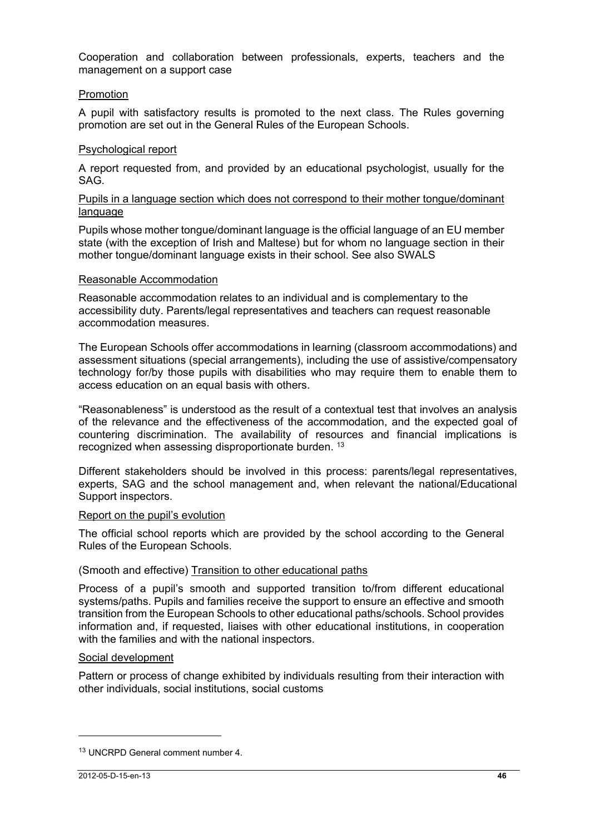Cooperation and collaboration between professionals, experts, teachers and the management on a support case

#### Promotion

A pupil with satisfactory results is promoted to the next class. The Rules governing promotion are set out in the General Rules of the European Schools.

#### Psychological report

A report requested from, and provided by an educational psychologist, usually for the SAG.

#### Pupils in a language section which does not correspond to their mother tongue/dominant language

Pupils whose mother tongue/dominant language is the official language of an EU member state (with the exception of Irish and Maltese) but for whom no language section in their mother tongue/dominant language exists in their school. See also SWALS

#### Reasonable Accommodation

Reasonable accommodation relates to an individual and is complementary to the accessibility duty. Parents/legal representatives and teachers can request reasonable accommodation measures.

The European Schools offer accommodations in learning (classroom accommodations) and assessment situations (special arrangements), including the use of assistive/compensatory technology for/by those pupils with disabilities who may require them to enable them to access education on an equal basis with others.

"Reasonableness" is understood as the result of a contextual test that involves an analysis of the relevance and the effectiveness of the accommodation, and the expected goal of countering discrimination. The availability of resources and financial implications is recognized when assessing disproportionate burden. <sup>13</sup>

Different stakeholders should be involved in this process: parents/legal representatives, experts, SAG and the school management and, when relevant the national/Educational Support inspectors.

#### Report on the pupil's evolution

The official school reports which are provided by the school according to the General Rules of the European Schools.

### (Smooth and effective) Transition to other educational paths

Process of a pupil's smooth and supported transition to/from different educational systems/paths. Pupils and families receive the support to ensure an effective and smooth transition from the European Schools to other educational paths/schools. School provides information and, if requested, liaises with other educational institutions, in cooperation with the families and with the national inspectors.

### Social development

Pattern or process of change exhibited by individuals resulting from their interaction with other individuals, social institutions, social customs

 $\overline{a}$ 

<sup>13</sup> UNCRPD General comment number 4.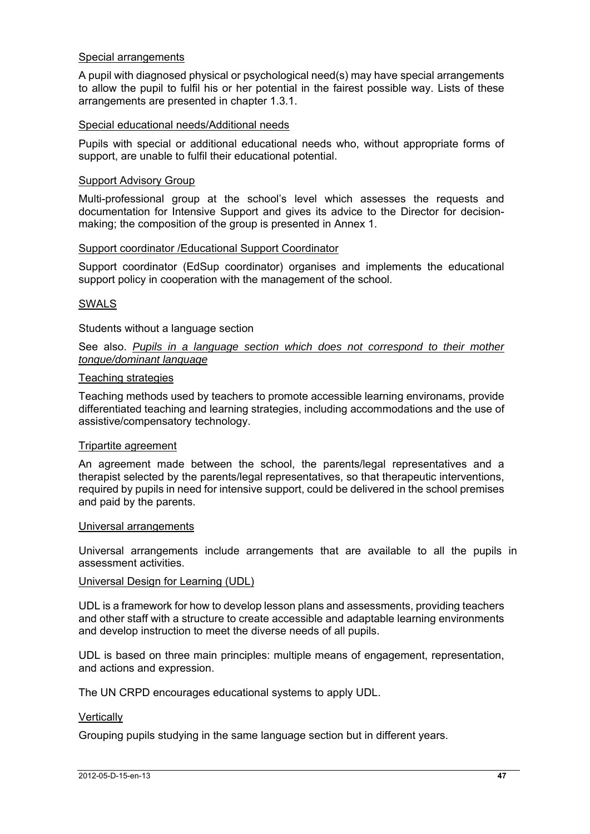#### Special arrangements

A pupil with diagnosed physical or psychological need(s) may have special arrangements to allow the pupil to fulfil his or her potential in the fairest possible way. Lists of these arrangements are presented in chapter 1.3.1.

#### Special educational needs/Additional needs

Pupils with special or additional educational needs who, without appropriate forms of support, are unable to fulfil their educational potential.

#### Support Advisory Group

Multi-professional group at the school's level which assesses the requests and documentation for Intensive Support and gives its advice to the Director for decisionmaking; the composition of the group is presented in Annex 1.

#### Support coordinator /Educational Support Coordinator

Support coordinator (EdSup coordinator) organises and implements the educational support policy in cooperation with the management of the school.

#### SWALS

Students without a language section

#### See also. *Pupils in a language section which does not correspond to their mother tongue/dominant language*

#### Teaching strategies

Teaching methods used by teachers to promote accessible learning environams, provide differentiated teaching and learning strategies, including accommodations and the use of assistive/compensatory technology.

#### Tripartite agreement

An agreement made between the school, the parents/legal representatives and a therapist selected by the parents/legal representatives, so that therapeutic interventions, required by pupils in need for intensive support, could be delivered in the school premises and paid by the parents.

#### Universal arrangements

Universal arrangements include arrangements that are available to all the pupils in assessment activities.

#### Universal Design for Learning (UDL)

UDL is a framework for how to develop lesson plans and assessments, providing teachers and other staff with a structure to create accessible and adaptable learning environments and develop instruction to meet the diverse needs of all pupils.

UDL is based on three main principles: multiple means of engagement, representation, and actions and expression.

The UN CRPD encourages educational systems to apply UDL.

#### **Vertically**

Grouping pupils studying in the same language section but in different years.